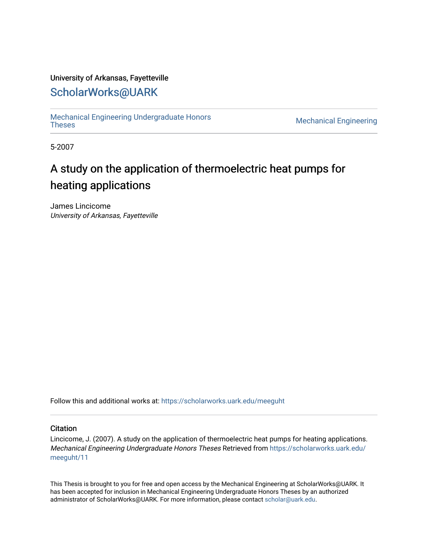### University of Arkansas, Fayetteville

# [ScholarWorks@UARK](https://scholarworks.uark.edu/)

[Mechanical Engineering Undergraduate Honors](https://scholarworks.uark.edu/meeguht)

**Mechanical Engineering** 

5-2007

# A study on the application of thermoelectric heat pumps for heating applications

James Lincicome University of Arkansas, Fayetteville

Follow this and additional works at: [https://scholarworks.uark.edu/meeguht](https://scholarworks.uark.edu/meeguht?utm_source=scholarworks.uark.edu%2Fmeeguht%2F11&utm_medium=PDF&utm_campaign=PDFCoverPages) 

#### **Citation**

Lincicome, J. (2007). A study on the application of thermoelectric heat pumps for heating applications. Mechanical Engineering Undergraduate Honors Theses Retrieved from [https://scholarworks.uark.edu/](https://scholarworks.uark.edu/meeguht/11?utm_source=scholarworks.uark.edu%2Fmeeguht%2F11&utm_medium=PDF&utm_campaign=PDFCoverPages) [meeguht/11](https://scholarworks.uark.edu/meeguht/11?utm_source=scholarworks.uark.edu%2Fmeeguht%2F11&utm_medium=PDF&utm_campaign=PDFCoverPages) 

This Thesis is brought to you for free and open access by the Mechanical Engineering at ScholarWorks@UARK. It has been accepted for inclusion in Mechanical Engineering Undergraduate Honors Theses by an authorized administrator of ScholarWorks@UARK. For more information, please contact [scholar@uark.edu](mailto:scholar@uark.edu).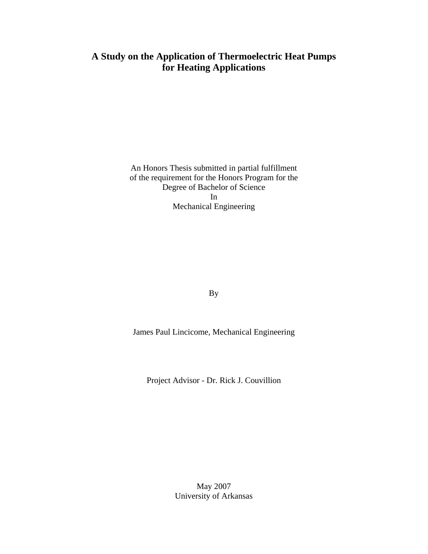# **A Study on the Application of Thermoelectric Heat Pumps for Heating Applications**

An Honors Thesis submitted in partial fulfillment of the requirement for the Honors Program for the Degree of Bachelor of Science In Mechanical Engineering

By

James Paul Lincicome, Mechanical Engineering

Project Advisor - Dr. Rick J. Couvillion

May 2007 University of Arkansas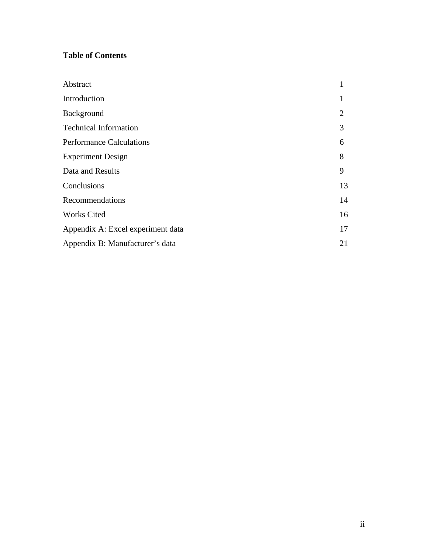# **Table of Contents**

| Abstract                          | 1              |
|-----------------------------------|----------------|
| Introduction                      |                |
| Background                        | $\overline{2}$ |
| <b>Technical Information</b>      | 3              |
| <b>Performance Calculations</b>   | 6              |
| <b>Experiment Design</b>          | 8              |
| Data and Results                  | 9              |
| Conclusions                       | 13             |
| Recommendations                   | 14             |
| <b>Works Cited</b>                | 16             |
| Appendix A: Excel experiment data | 17             |
| Appendix B: Manufacturer's data   | 21             |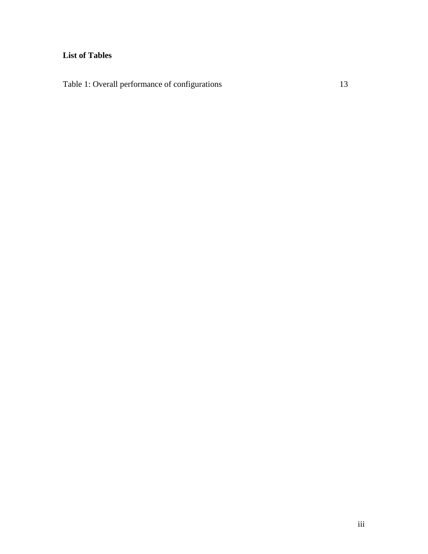# **List of Tables**

Table 1: Overall performance of configurations 13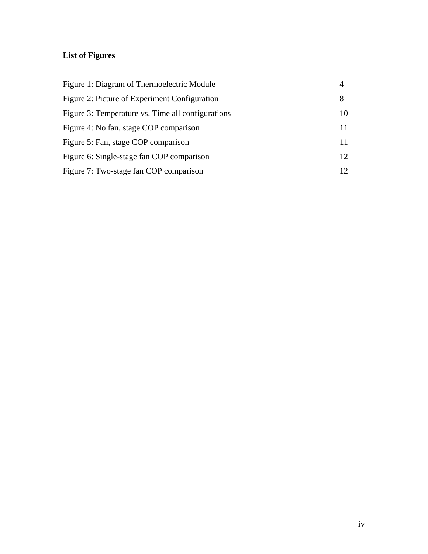# **List of Figures**

| Figure 1: Diagram of Thermoelectric Module        | 4               |
|---------------------------------------------------|-----------------|
| Figure 2: Picture of Experiment Configuration     | 8               |
| Figure 3: Temperature vs. Time all configurations | 10              |
| Figure 4: No fan, stage COP comparison            | 11              |
| Figure 5: Fan, stage COP comparison               | 11              |
| Figure 6: Single-stage fan COP comparison         | 12 <sup>°</sup> |
| Figure 7: Two-stage fan COP comparison            | 12 <sub>1</sub> |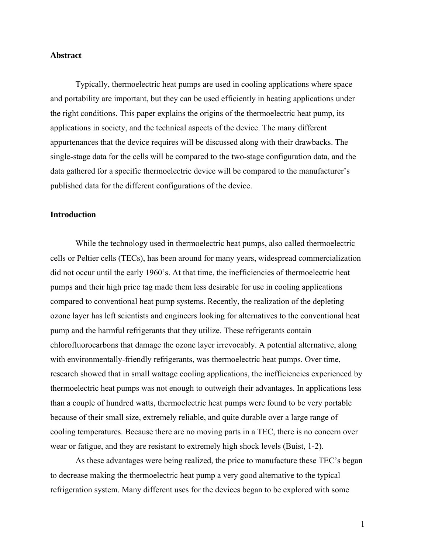#### **Abstract**

Typically, thermoelectric heat pumps are used in cooling applications where space and portability are important, but they can be used efficiently in heating applications under the right conditions. This paper explains the origins of the thermoelectric heat pump, its applications in society, and the technical aspects of the device. The many different appurtenances that the device requires will be discussed along with their drawbacks. The single-stage data for the cells will be compared to the two-stage configuration data, and the data gathered for a specific thermoelectric device will be compared to the manufacturer's published data for the different configurations of the device.

#### **Introduction**

While the technology used in thermoelectric heat pumps, also called thermoelectric cells or Peltier cells (TECs), has been around for many years, widespread commercialization did not occur until the early 1960's. At that time, the inefficiencies of thermoelectric heat pumps and their high price tag made them less desirable for use in cooling applications compared to conventional heat pump systems. Recently, the realization of the depleting ozone layer has left scientists and engineers looking for alternatives to the conventional heat pump and the harmful refrigerants that they utilize. These refrigerants contain chlorofluorocarbons that damage the ozone layer irrevocably. A potential alternative, along with environmentally-friendly refrigerants, was thermoelectric heat pumps. Over time, research showed that in small wattage cooling applications, the inefficiencies experienced by thermoelectric heat pumps was not enough to outweigh their advantages. In applications less than a couple of hundred watts, thermoelectric heat pumps were found to be very portable because of their small size, extremely reliable, and quite durable over a large range of cooling temperatures. Because there are no moving parts in a TEC, there is no concern over wear or fatigue, and they are resistant to extremely high shock levels (Buist, 1-2).

As these advantages were being realized, the price to manufacture these TEC's began to decrease making the thermoelectric heat pump a very good alternative to the typical refrigeration system. Many different uses for the devices began to be explored with some

1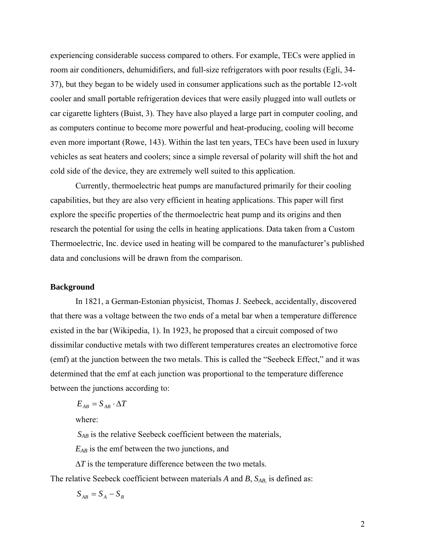experiencing considerable success compared to others. For example, TECs were applied in room air conditioners, dehumidifiers, and full-size refrigerators with poor results (Egli, 34- 37), but they began to be widely used in consumer applications such as the portable 12-volt cooler and small portable refrigeration devices that were easily plugged into wall outlets or car cigarette lighters (Buist, 3). They have also played a large part in computer cooling, and as computers continue to become more powerful and heat-producing, cooling will become even more important (Rowe, 143). Within the last ten years, TECs have been used in luxury vehicles as seat heaters and coolers; since a simple reversal of polarity will shift the hot and cold side of the device, they are extremely well suited to this application.

Currently, thermoelectric heat pumps are manufactured primarily for their cooling capabilities, but they are also very efficient in heating applications. This paper will first explore the specific properties of the thermoelectric heat pump and its origins and then research the potential for using the cells in heating applications. Data taken from a Custom Thermoelectric, Inc. device used in heating will be compared to the manufacturer's published data and conclusions will be drawn from the comparison.

#### **Background**

In 1821, a German-Estonian physicist, Thomas J. Seebeck, accidentally, discovered that there was a voltage between the two ends of a metal bar when a temperature difference existed in the bar (Wikipedia, 1). In 1923, he proposed that a circuit composed of two dissimilar conductive metals with two different temperatures creates an electromotive force (emf) at the junction between the two metals. This is called the "Seebeck Effect," and it was determined that the emf at each junction was proportional to the temperature difference between the junctions according to:

$$
E_{AB} = S_{AB} \cdot \Delta T
$$

where:

*SAB* is the relative Seebeck coefficient between the materials,

*EAB* is the emf between the two junctions, and

∆*T* is the temperature difference between the two metals.

The relative Seebeck coefficient between materials *A* and *B*,  $S_{AB}$  is defined as:

$$
S_{AB} = S_A - S_B
$$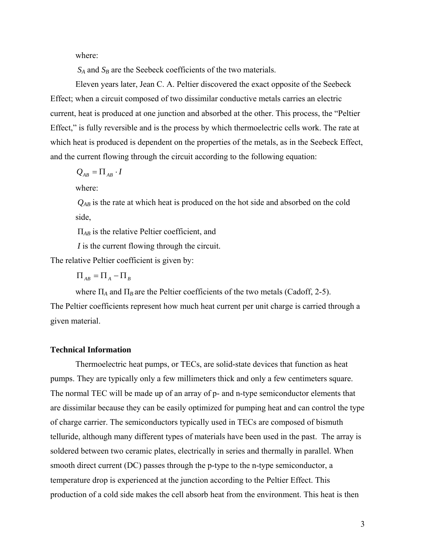where:

 $S_A$  and  $S_B$  are the Seebeck coefficients of the two materials.

Eleven years later, Jean C. A. Peltier discovered the exact opposite of the Seebeck Effect; when a circuit composed of two dissimilar conductive metals carries an electric current, heat is produced at one junction and absorbed at the other. This process, the "Peltier Effect," is fully reversible and is the process by which thermoelectric cells work. The rate at which heat is produced is dependent on the properties of the metals, as in the Seebeck Effect, and the current flowing through the circuit according to the following equation:

$$
Q_{AB} = \Pi_{AB} \cdot I
$$

where:

 $Q_{AB}$  is the rate at which heat is produced on the hot side and absorbed on the cold side,

Π*AB* is the relative Peltier coefficient, and

*I* is the current flowing through the circuit.

The relative Peltier coefficient is given by:

 $\Pi_{AB} = \Pi_A - \Pi_B$ 

where  $\Pi_A$  and  $\Pi_B$  are the Peltier coefficients of the two metals (Cadoff, 2-5). The Peltier coefficients represent how much heat current per unit charge is carried through a given material.

### **Technical Information**

Thermoelectric heat pumps, or TECs, are solid-state devices that function as heat pumps. They are typically only a few millimeters thick and only a few centimeters square. The normal TEC will be made up of an array of p- and n-type semiconductor elements that are dissimilar because they can be easily optimized for pumping heat and can control the type of charge carrier. The semiconductors typically used in TECs are composed of bismuth telluride, although many different types of materials have been used in the past. The array is soldered between two ceramic plates, electrically in series and thermally in parallel. When smooth direct current (DC) passes through the p-type to the n-type semiconductor, a temperature drop is experienced at the junction according to the Peltier Effect. This production of a cold side makes the cell absorb heat from the environment. This heat is then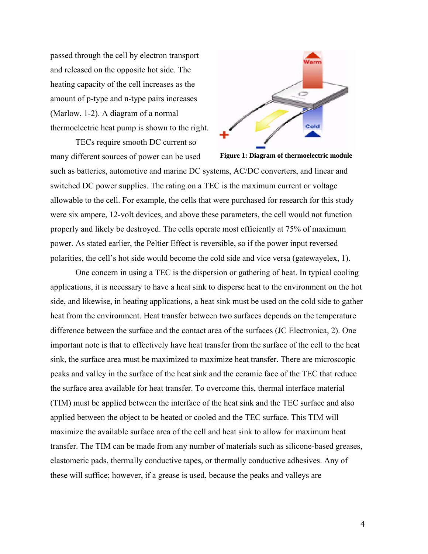passed through the cell by electron transport and released on the opposite hot side. The heating capacity of the cell increases as the amount of p-type and n-type pairs increases (Marlow, 1-2). A diagram of a normal thermoelectric heat pump is shown to the right.

TECs require smooth DC current so many different sources of power can be used



such as batteries, automotive and marine DC systems, AC/DC converters, and linear and switched DC power supplies. The rating on a TEC is the maximum current or voltage allowable to the cell. For example, the cells that were purchased for research for this study were six ampere, 12-volt devices, and above these parameters, the cell would not function properly and likely be destroyed. The cells operate most efficiently at 75% of maximum power. As stated earlier, the Peltier Effect is reversible, so if the power input reversed polarities, the cell's hot side would become the cold side and vice versa (gatewayelex, 1).

One concern in using a TEC is the dispersion or gathering of heat. In typical cooling applications, it is necessary to have a heat sink to disperse heat to the environment on the hot side, and likewise, in heating applications, a heat sink must be used on the cold side to gather heat from the environment. Heat transfer between two surfaces depends on the temperature difference between the surface and the contact area of the surfaces (JC Electronica, 2). One important note is that to effectively have heat transfer from the surface of the cell to the heat sink, the surface area must be maximized to maximize heat transfer. There are microscopic peaks and valley in the surface of the heat sink and the ceramic face of the TEC that reduce the surface area available for heat transfer. To overcome this, thermal interface material (TIM) must be applied between the interface of the heat sink and the TEC surface and also applied between the object to be heated or cooled and the TEC surface. This TIM will maximize the available surface area of the cell and heat sink to allow for maximum heat transfer. The TIM can be made from any number of materials such as silicone-based greases, elastomeric pads, thermally conductive tapes, or thermally conductive adhesives. Any of these will suffice; however, if a grease is used, because the peaks and valleys are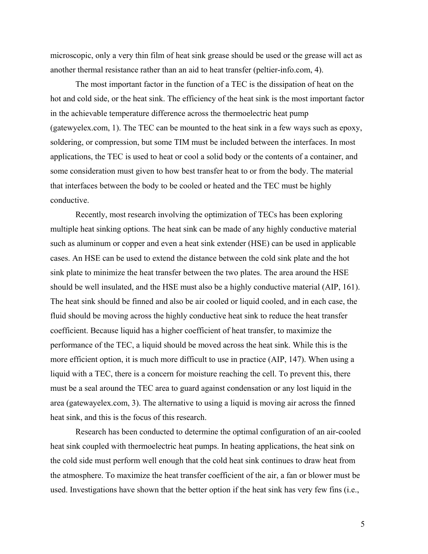microscopic, only a very thin film of heat sink grease should be used or the grease will act as another thermal resistance rather than an aid to heat transfer (peltier-info.com, 4).

The most important factor in the function of a TEC is the dissipation of heat on the hot and cold side, or the heat sink. The efficiency of the heat sink is the most important factor in the achievable temperature difference across the thermoelectric heat pump (gatewyelex.com, 1). The TEC can be mounted to the heat sink in a few ways such as epoxy, soldering, or compression, but some TIM must be included between the interfaces. In most applications, the TEC is used to heat or cool a solid body or the contents of a container, and some consideration must given to how best transfer heat to or from the body. The material that interfaces between the body to be cooled or heated and the TEC must be highly conductive.

Recently, most research involving the optimization of TECs has been exploring multiple heat sinking options. The heat sink can be made of any highly conductive material such as aluminum or copper and even a heat sink extender (HSE) can be used in applicable cases. An HSE can be used to extend the distance between the cold sink plate and the hot sink plate to minimize the heat transfer between the two plates. The area around the HSE should be well insulated, and the HSE must also be a highly conductive material (AIP, 161). The heat sink should be finned and also be air cooled or liquid cooled, and in each case, the fluid should be moving across the highly conductive heat sink to reduce the heat transfer coefficient. Because liquid has a higher coefficient of heat transfer, to maximize the performance of the TEC, a liquid should be moved across the heat sink. While this is the more efficient option, it is much more difficult to use in practice (AIP, 147). When using a liquid with a TEC, there is a concern for moisture reaching the cell. To prevent this, there must be a seal around the TEC area to guard against condensation or any lost liquid in the area (gatewayelex.com, 3). The alternative to using a liquid is moving air across the finned heat sink, and this is the focus of this research.

Research has been conducted to determine the optimal configuration of an air-cooled heat sink coupled with thermoelectric heat pumps. In heating applications, the heat sink on the cold side must perform well enough that the cold heat sink continues to draw heat from the atmosphere. To maximize the heat transfer coefficient of the air, a fan or blower must be used. Investigations have shown that the better option if the heat sink has very few fins (i.e.,

5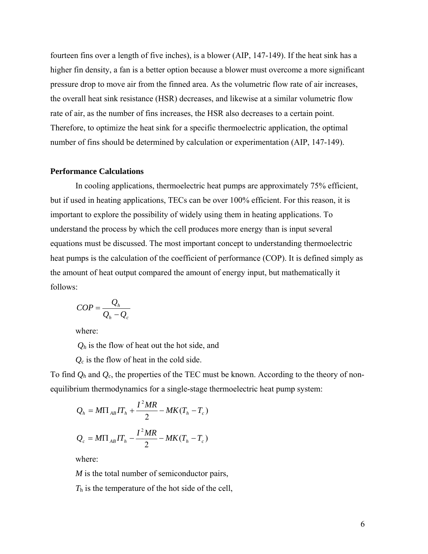fourteen fins over a length of five inches), is a blower (AIP, 147-149). If the heat sink has a higher fin density, a fan is a better option because a blower must overcome a more significant pressure drop to move air from the finned area. As the volumetric flow rate of air increases, the overall heat sink resistance (HSR) decreases, and likewise at a similar volumetric flow rate of air, as the number of fins increases, the HSR also decreases to a certain point. Therefore, to optimize the heat sink for a specific thermoelectric application, the optimal number of fins should be determined by calculation or experimentation (AIP, 147-149).

#### **Performance Calculations**

In cooling applications, thermoelectric heat pumps are approximately 75% efficient, but if used in heating applications, TECs can be over 100% efficient. For this reason, it is important to explore the possibility of widely using them in heating applications. To understand the process by which the cell produces more energy than is input several equations must be discussed. The most important concept to understanding thermoelectric heat pumps is the calculation of the coefficient of performance (COP). It is defined simply as the amount of heat output compared the amount of energy input, but mathematically it follows:

$$
COP = \frac{Q_h}{Q_h - Q_c}
$$

where:

*Qh* is the flow of heat out the hot side, and

*Qc* is the flow of heat in the cold side.

To find  $Q_h$  and  $Q_c$ , the properties of the TEC must be known. According to the theory of nonequilibrium thermodynamics for a single-stage thermoelectric heat pump system:

$$
Q_h = M\Pi_{AB}IT_h + \frac{I^2MR}{2} - MK(T_h - T_c)
$$
  

$$
Q_c = M\Pi_{AB}IT_h - \frac{I^2MR}{2} - MK(T_h - T_c)
$$

where:

*M* is the total number of semiconductor pairs,

*T*h is the temperature of the hot side of the cell,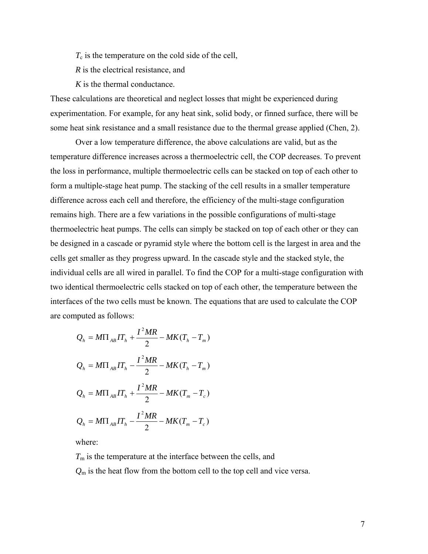$T_c$  is the temperature on the cold side of the cell,

*R* is the electrical resistance, and

*K* is the thermal conductance.

These calculations are theoretical and neglect losses that might be experienced during experimentation. For example, for any heat sink, solid body, or finned surface, there will be some heat sink resistance and a small resistance due to the thermal grease applied (Chen, 2).

Over a low temperature difference, the above calculations are valid, but as the temperature difference increases across a thermoelectric cell, the COP decreases. To prevent the loss in performance, multiple thermoelectric cells can be stacked on top of each other to form a multiple-stage heat pump. The stacking of the cell results in a smaller temperature difference across each cell and therefore, the efficiency of the multi-stage configuration remains high. There are a few variations in the possible configurations of multi-stage thermoelectric heat pumps. The cells can simply be stacked on top of each other or they can be designed in a cascade or pyramid style where the bottom cell is the largest in area and the cells get smaller as they progress upward. In the cascade style and the stacked style, the individual cells are all wired in parallel. To find the COP for a multi-stage configuration with two identical thermoelectric cells stacked on top of each other, the temperature between the interfaces of the two cells must be known. The equations that are used to calculate the COP are computed as follows:

$$
Q_{h} = M\Pi_{AB}IT_{h} + \frac{I^{2}MR}{2} - MK(T_{h} - T_{m})
$$
  

$$
Q_{h} = M\Pi_{AB}IT_{h} - \frac{I^{2}MR}{2} - MK(T_{h} - T_{m})
$$
  

$$
Q_{h} = M\Pi_{AB}IT_{h} + \frac{I^{2}MR}{2} - MK(T_{m} - T_{c})
$$
  

$$
Q_{h} = M\Pi_{AB}IT_{h} - \frac{I^{2}MR}{2} - MK(T_{m} - T_{c})
$$

where:

 $T<sub>m</sub>$  is the temperature at the interface between the cells, and *Q*m is the heat flow from the bottom cell to the top cell and vice versa.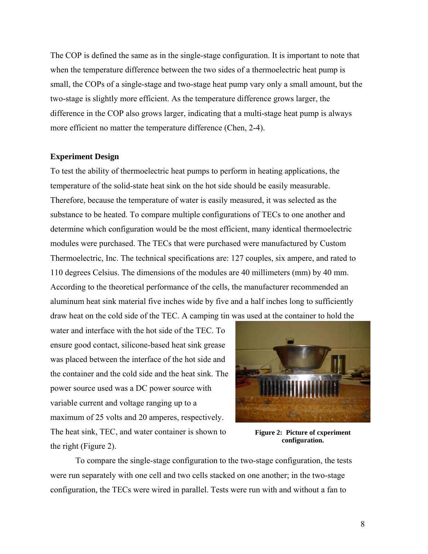The COP is defined the same as in the single-stage configuration. It is important to note that when the temperature difference between the two sides of a thermoelectric heat pump is small, the COPs of a single-stage and two-stage heat pump vary only a small amount, but the two-stage is slightly more efficient. As the temperature difference grows larger, the difference in the COP also grows larger, indicating that a multi-stage heat pump is always more efficient no matter the temperature difference (Chen, 2-4).

#### **Experiment Design**

To test the ability of thermoelectric heat pumps to perform in heating applications, the temperature of the solid-state heat sink on the hot side should be easily measurable. Therefore, because the temperature of water is easily measured, it was selected as the substance to be heated. To compare multiple configurations of TECs to one another and determine which configuration would be the most efficient, many identical thermoelectric modules were purchased. The TECs that were purchased were manufactured by Custom Thermoelectric, Inc. The technical specifications are: 127 couples, six ampere, and rated to 110 degrees Celsius. The dimensions of the modules are 40 millimeters (mm) by 40 mm. According to the theoretical performance of the cells, the manufacturer recommended an aluminum heat sink material five inches wide by five and a half inches long to sufficiently draw heat on the cold side of the TEC. A camping tin was used at the container to hold the

water and interface with the hot side of the TEC. To ensure good contact, silicone-based heat sink grease was placed between the interface of the hot side and the container and the cold side and the heat sink. The power source used was a DC power source with variable current and voltage ranging up to a maximum of 25 volts and 20 amperes, respectively. The heat sink, TEC, and water container is shown to the right (Figure 2).



**Figure 2: Picture of cxperiment configuration.** 

To compare the single-stage configuration to the two-stage configuration, the tests were run separately with one cell and two cells stacked on one another; in the two-stage configuration, the TECs were wired in parallel. Tests were run with and without a fan to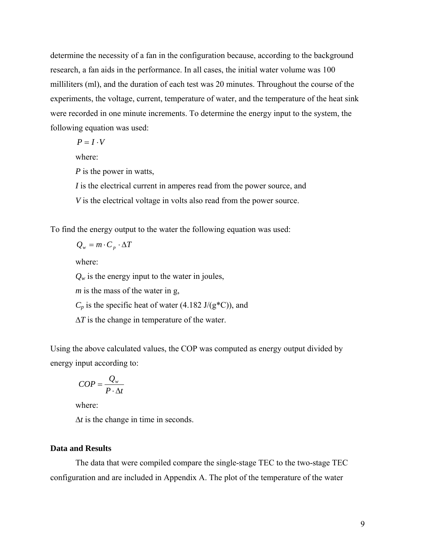determine the necessity of a fan in the configuration because, according to the background research, a fan aids in the performance. In all cases, the initial water volume was 100 milliliters (ml), and the duration of each test was 20 minutes. Throughout the course of the experiments, the voltage, current, temperature of water, and the temperature of the heat sink were recorded in one minute increments. To determine the energy input to the system, the following equation was used:

 $P = I \cdot V$ 

where:

*P* is the power in watts,

*I* is the electrical current in amperes read from the power source, and *V* is the electrical voltage in volts also read from the power source.

To find the energy output to the water the following equation was used:

$$
Q_w = m \cdot C_p \cdot \Delta T
$$

where:

 $Q_w$  is the energy input to the water in joules, *m* is the mass of the water in g,  $C_p$  is the specific heat of water (4.182 J/(g<sup>\*</sup>C)), and ∆*T* is the change in temperature of the water.

Using the above calculated values, the COP was computed as energy output divided by energy input according to:

$$
COP = \frac{Q_w}{P \cdot \Delta t}
$$

where:

 $\Delta t$  is the change in time in seconds.

### **Data and Results**

The data that were compiled compare the single-stage TEC to the two-stage TEC configuration and are included in Appendix A. The plot of the temperature of the water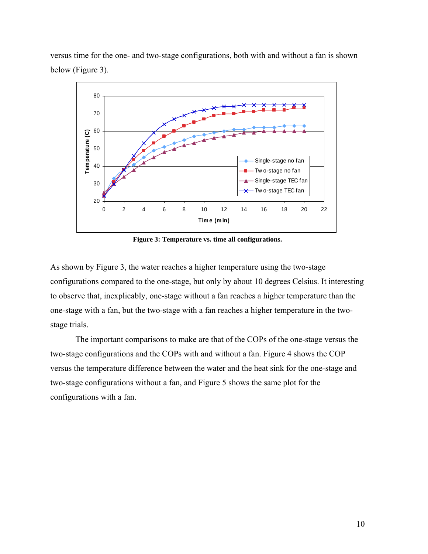versus time for the one- and two-stage configurations, both with and without a fan is shown below (Figure 3).



**Figure 3: Temperature vs. time all configurations.** 

As shown by Figure 3, the water reaches a higher temperature using the two-stage configurations compared to the one-stage, but only by about 10 degrees Celsius. It interesting to observe that, inexplicably, one-stage without a fan reaches a higher temperature than the one-stage with a fan, but the two-stage with a fan reaches a higher temperature in the twostage trials.

The important comparisons to make are that of the COPs of the one-stage versus the two-stage configurations and the COPs with and without a fan. Figure 4 shows the COP versus the temperature difference between the water and the heat sink for the one-stage and two-stage configurations without a fan, and Figure 5 shows the same plot for the configurations with a fan.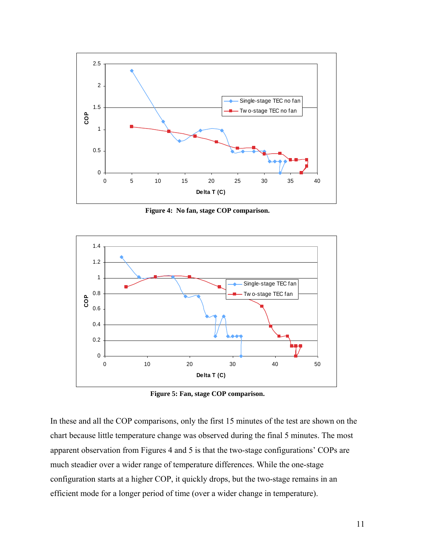

**Figure 4: No fan, stage COP comparison.**



**Figure 5: Fan, stage COP comparison.** 

In these and all the COP comparisons, only the first 15 minutes of the test are shown on the chart because little temperature change was observed during the final 5 minutes. The most apparent observation from Figures 4 and 5 is that the two-stage configurations' COPs are much steadier over a wider range of temperature differences. While the one-stage configuration starts at a higher COP, it quickly drops, but the two-stage remains in an efficient mode for a longer period of time (over a wider change in temperature).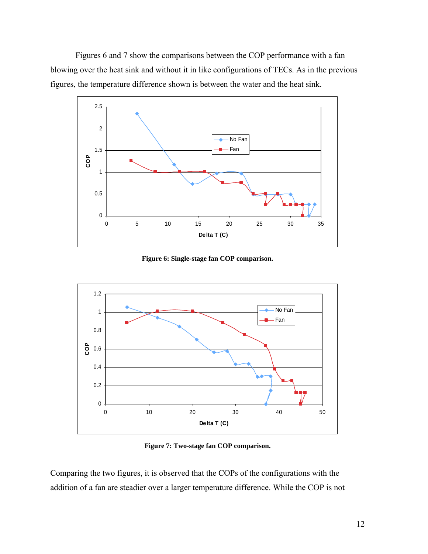Figures 6 and 7 show the comparisons between the COP performance with a fan blowing over the heat sink and without it in like configurations of TECs. As in the previous figures, the temperature difference shown is between the water and the heat sink.



**Figure 6: Single-stage fan COP comparison.** 



**Figure 7: Two-stage fan COP comparison.** 

Comparing the two figures, it is observed that the COPs of the configurations with the addition of a fan are steadier over a larger temperature difference. While the COP is not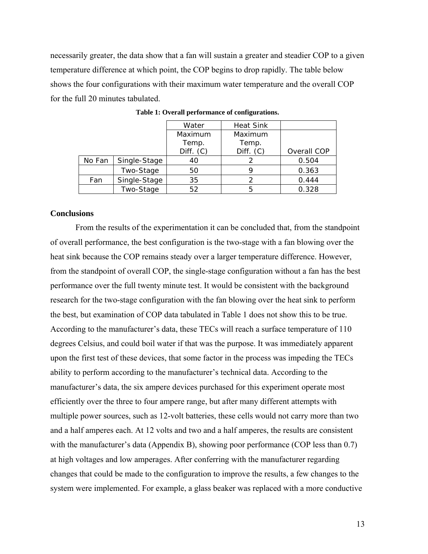necessarily greater, the data show that a fan will sustain a greater and steadier COP to a given temperature difference at which point, the COP begins to drop rapidly. The table below shows the four configurations with their maximum water temperature and the overall COP for the full 20 minutes tabulated.

|        |              | Water     | <b>Heat Sink</b> |             |
|--------|--------------|-----------|------------------|-------------|
|        |              | Maximum   | Maximum          |             |
|        |              | Temp.     | Temp.            |             |
|        |              | Diff. (C) | Diff. (C)        | Overall COP |
| No Fan | Single-Stage | 40        |                  | 0.504       |
|        | Two-Stage    | 50        |                  | 0.363       |
| Fan    | Single-Stage | 35        | 2                | 0.444       |
|        | Two-Stage    | 52        | 5                | 0.328       |

**Table 1: Overall performance of configurations.** 

## **Conclusions**

From the results of the experimentation it can be concluded that, from the standpoint of overall performance, the best configuration is the two-stage with a fan blowing over the heat sink because the COP remains steady over a larger temperature difference. However, from the standpoint of overall COP, the single-stage configuration without a fan has the best performance over the full twenty minute test. It would be consistent with the background research for the two-stage configuration with the fan blowing over the heat sink to perform the best, but examination of COP data tabulated in Table 1 does not show this to be true. According to the manufacturer's data, these TECs will reach a surface temperature of 110 degrees Celsius, and could boil water if that was the purpose. It was immediately apparent upon the first test of these devices, that some factor in the process was impeding the TECs ability to perform according to the manufacturer's technical data. According to the manufacturer's data, the six ampere devices purchased for this experiment operate most efficiently over the three to four ampere range, but after many different attempts with multiple power sources, such as 12-volt batteries, these cells would not carry more than two and a half amperes each. At 12 volts and two and a half amperes, the results are consistent with the manufacturer's data (Appendix B), showing poor performance (COP less than 0.7) at high voltages and low amperages. After conferring with the manufacturer regarding changes that could be made to the configuration to improve the results, a few changes to the system were implemented. For example, a glass beaker was replaced with a more conductive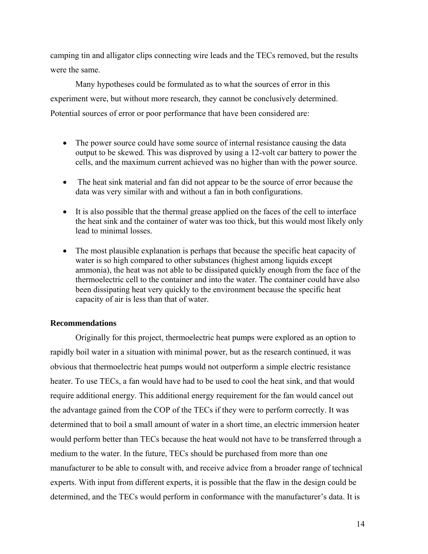camping tin and alligator clips connecting wire leads and the TECs removed, but the results were the same.

Many hypotheses could be formulated as to what the sources of error in this experiment were, but without more research, they cannot be conclusively determined. Potential sources of error or poor performance that have been considered are:

- The power source could have some source of internal resistance causing the data output to be skewed. This was disproved by using a 12-volt car battery to power the cells, and the maximum current achieved was no higher than with the power source.
- The heat sink material and fan did not appear to be the source of error because the data was very similar with and without a fan in both configurations.
- It is also possible that the thermal grease applied on the faces of the cell to interface the heat sink and the container of water was too thick, but this would most likely only lead to minimal losses.
- The most plausible explanation is perhaps that because the specific heat capacity of water is so high compared to other substances (highest among liquids except ammonia), the heat was not able to be dissipated quickly enough from the face of the thermoelectric cell to the container and into the water. The container could have also been dissipating heat very quickly to the environment because the specific heat capacity of air is less than that of water.

### **Recommendations**

Originally for this project, thermoelectric heat pumps were explored as an option to rapidly boil water in a situation with minimal power, but as the research continued, it was obvious that thermoelectric heat pumps would not outperform a simple electric resistance heater. To use TECs, a fan would have had to be used to cool the heat sink, and that would require additional energy. This additional energy requirement for the fan would cancel out the advantage gained from the COP of the TECs if they were to perform correctly. It was determined that to boil a small amount of water in a short time, an electric immersion heater would perform better than TECs because the heat would not have to be transferred through a medium to the water. In the future, TECs should be purchased from more than one manufacturer to be able to consult with, and receive advice from a broader range of technical experts. With input from different experts, it is possible that the flaw in the design could be determined, and the TECs would perform in conformance with the manufacturer's data. It is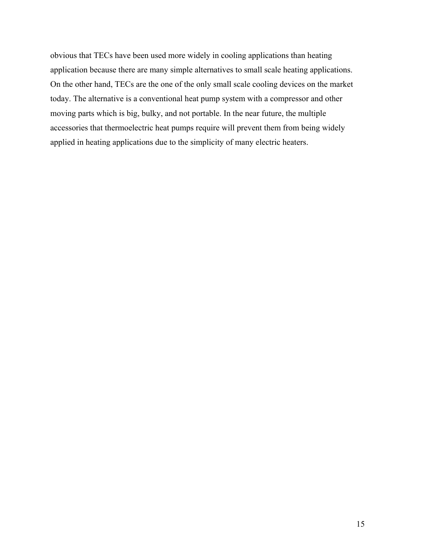obvious that TECs have been used more widely in cooling applications than heating application because there are many simple alternatives to small scale heating applications. On the other hand, TECs are the one of the only small scale cooling devices on the market today. The alternative is a conventional heat pump system with a compressor and other moving parts which is big, bulky, and not portable. In the near future, the multiple accessories that thermoelectric heat pumps require will prevent them from being widely applied in heating applications due to the simplicity of many electric heaters.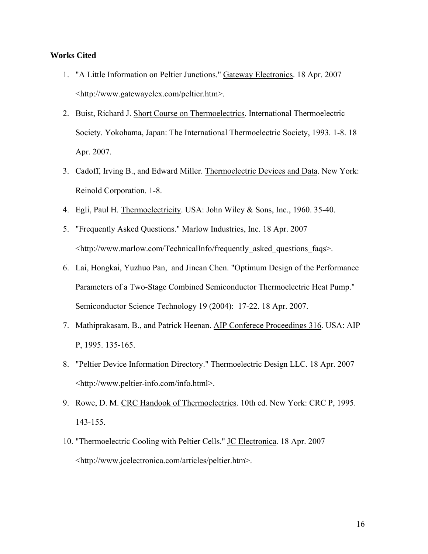### **Works Cited**

- 1. "A Little Information on Peltier Junctions." Gateway Electronics. 18 Apr. 2007 <http://www.gatewayelex.com/peltier.htm>.
- 2. Buist, Richard J. Short Course on Thermoelectrics. International Thermoelectric Society. Yokohama, Japan: The International Thermoelectric Society, 1993. 1-8. 18 Apr. 2007.
- 3. Cadoff, Irving B., and Edward Miller. Thermoelectric Devices and Data. New York: Reinold Corporation. 1-8.
- 4. Egli, Paul H. Thermoelectricity. USA: John Wiley & Sons, Inc., 1960. 35-40.
- 5. "Frequently Asked Questions." Marlow Industries, Inc. 18 Apr. 2007 <http://www.marlow.com/TechnicalInfo/frequently\_asked\_questions\_faqs>.
- 6. Lai, Hongkai, Yuzhuo Pan, and Jincan Chen. "Optimum Design of the Performance Parameters of a Two-Stage Combined Semiconductor Thermoelectric Heat Pump." Semiconductor Science Technology 19 (2004): 17-22. 18 Apr. 2007.
- 7. Mathiprakasam, B., and Patrick Heenan. AIP Conferece Proceedings 316. USA: AIP P, 1995. 135-165.
- 8. "Peltier Device Information Directory." Thermoelectric Design LLC. 18 Apr. 2007 <http://www.peltier-info.com/info.html>.
- 9. Rowe, D. M. CRC Handook of Thermoelectrics. 10th ed. New York: CRC P, 1995. 143-155.
- 10. "Thermoelectric Cooling with Peltier Cells." JC Electronica. 18 Apr. 2007 <http://www.jcelectronica.com/articles/peltier.htm>.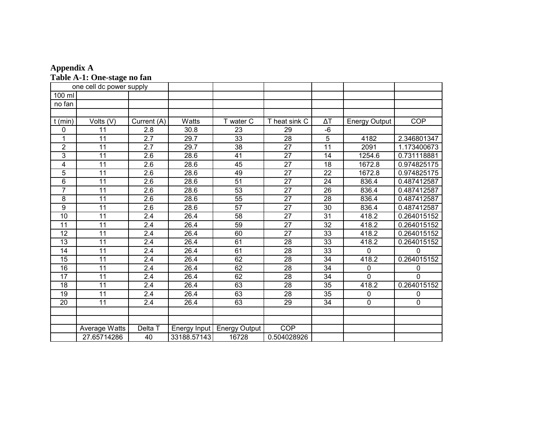| <b>Appendix A</b>           |  |
|-----------------------------|--|
| Table A-1: One-stage no fan |  |

| one cell dc power supply |                 |                  |              |                      |                 |                 |                      |             |  |
|--------------------------|-----------------|------------------|--------------|----------------------|-----------------|-----------------|----------------------|-------------|--|
| 100 ml                   |                 |                  |              |                      |                 |                 |                      |             |  |
| no fan                   |                 |                  |              |                      |                 |                 |                      |             |  |
|                          |                 |                  |              |                      |                 |                 |                      |             |  |
| $t$ (min)                | Volts (V)       | Current (A)      | Watts        | T water C            | T heat sink C   | $\Delta T$      | <b>Energy Output</b> | <b>COP</b>  |  |
| 0                        | 11              | 2.8              | 30.8         | 23                   | 29              | $-6$            |                      |             |  |
| 1                        | 11              | 2.7              | 29.7         | $\overline{33}$      | 28              | 5               | 4182                 | 2.346801347 |  |
| $\overline{2}$           | 11              | $\overline{2.7}$ | 29.7         | $\overline{38}$      | $\overline{27}$ | $\overline{11}$ | 2091                 | 1.173400673 |  |
| 3                        | 11              | 2.6              | 28.6         | 41                   | 27              | 14              | 1254.6               | 0.731118881 |  |
| 4                        | 11              | 2.6              | 28.6         | 45                   | $\overline{27}$ | 18              | 1672.8               | 0.974825175 |  |
| $\overline{5}$           | 11              | 2.6              | 28.6         | 49                   | 27              | 22              | 1672.8               | 0.974825175 |  |
| $\overline{6}$           | $\overline{11}$ | $\overline{2.6}$ | 28.6         | $\overline{51}$      | $\overline{27}$ | $\overline{24}$ | 836.4                | 0.487412587 |  |
| $\overline{7}$           | 11              | 2.6              | 28.6         | 53                   | 27              | 26              | 836.4                | 0.487412587 |  |
| $\overline{8}$           | 11              | $\overline{2.6}$ | 28.6         | 55                   | $\overline{27}$ | $\overline{28}$ | 836.4                | 0.487412587 |  |
| 9                        | 11              | 2.6              | 28.6         | 57                   | 27              | 30              | 836.4                | 0.487412587 |  |
| 10                       | 11              | 2.4              | 26.4         | 58                   | 27              | 31              | 418.2                | 0.264015152 |  |
| 11                       | 11              | $\overline{2.4}$ | 26.4         | 59                   | $\overline{27}$ | 32              | 418.2                | 0.264015152 |  |
| 12                       | 11              | 2.4              | 26.4         | 60                   | 27              | 33              | 418.2                | 0.264015152 |  |
| 13                       | 11              | 2.4              | 26.4         | 61                   | 28              | 33              | 418.2                | 0.264015152 |  |
| 14                       | 11              | 2.4              | 26.4         | 61                   | 28              | 33              | 0                    | 0           |  |
| 15                       | $\overline{11}$ | $\overline{2.4}$ | 26.4         | 62                   | $\overline{28}$ | $\overline{34}$ | 418.2                | 0.264015152 |  |
| 16                       | 11              | 2.4              | 26.4         | 62                   | 28              | 34              | $\mathbf{0}$         | 0           |  |
| 17                       | $\overline{11}$ | $\overline{2.4}$ | 26.4         | 62                   | 28              | $\overline{34}$ | $\overline{0}$       | 0           |  |
| 18                       | 11              | 2.4              | 26.4         | 63                   | 28              | 35              | 418.2                | 0.264015152 |  |
| 19                       | 11              | 2.4              | 26.4         | 63                   | 28              | 35              | 0                    | 0           |  |
| 20                       | 11              | 2.4              | 26.4         | 63                   | 29              | 34              | $\mathbf 0$          | 0           |  |
|                          |                 |                  |              |                      |                 |                 |                      |             |  |
|                          |                 |                  |              |                      |                 |                 |                      |             |  |
|                          | Average Watts   | Delta T          | Energy Input | <b>Energy Output</b> | <b>COP</b>      |                 |                      |             |  |
|                          | 27.65714286     | 40               | 33188.57143  | 16728                | 0.504028926     |                 |                      |             |  |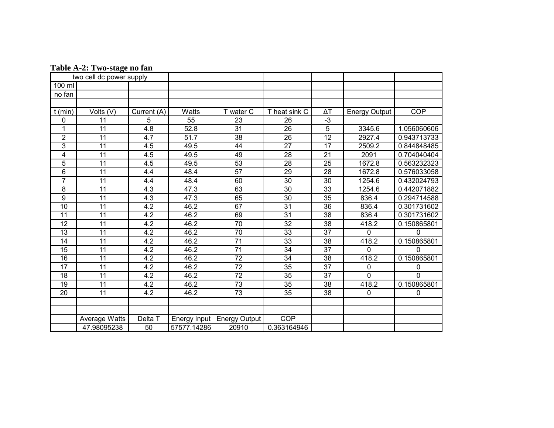| Table A-2: Two-stage no fan |
|-----------------------------|
|-----------------------------|

| two cell dc power supply |                 |                  |                   |                      |                 |                 |                      |             |  |
|--------------------------|-----------------|------------------|-------------------|----------------------|-----------------|-----------------|----------------------|-------------|--|
| 100 ml                   |                 |                  |                   |                      |                 |                 |                      |             |  |
| no fan                   |                 |                  |                   |                      |                 |                 |                      |             |  |
|                          |                 |                  |                   |                      |                 |                 |                      |             |  |
| $t$ (min)                | Volts (V)       | Current (A)      | Watts             | T water C            | T heat sink C   | $\Delta T$      | <b>Energy Output</b> | <b>COP</b>  |  |
| 0                        | 11              | 5                | 55                | 23                   | 26              | $\overline{3}$  |                      |             |  |
| 1                        | 11              | 4.8              | 52.8              | 31                   | 26              | 5               | 3345.6               | 1.056060606 |  |
| $\overline{2}$           | $\overline{11}$ | $\overline{4.7}$ | $\overline{51.7}$ | $\overline{38}$      | $\overline{26}$ | $\overline{12}$ | 2927.4               | 0.943713733 |  |
| 3                        | 11              | 4.5              | 49.5              | 44                   | 27              | 17              | 2509.2               | 0.844848485 |  |
| 4                        | 11              | 4.5              | 49.5              | 49                   | $\overline{28}$ | 21              | 2091                 | 0.704040404 |  |
| $\overline{5}$           | 11              | 4.5              | 49.5              | 53                   | $\overline{28}$ | 25              | 1672.8               | 0.563232323 |  |
| $\overline{6}$           | 11              | 4.4              | 48.4              | $\overline{57}$      | $\overline{29}$ | $\overline{28}$ | 1672.8               | 0.576033058 |  |
| $\overline{7}$           | $\overline{11}$ | 4.4              | 48.4              | 60                   | $\overline{30}$ | 30              | 1254.6               | 0.432024793 |  |
| 8                        | 11              | 4.3              | 47.3              | 63                   | 30              | 33              | 1254.6               | 0.442071882 |  |
| 9                        | 11              | 4.3              | 47.3              | 65                   | 30              | 35              | 836.4                | 0.294714588 |  |
| $\overline{10}$          | 11              | 4.2              | 46.2              | 67                   | 31              | 36              | 836.4                | 0.301731602 |  |
| 11                       | 11              | 4.2              | 46.2              | 69                   | 31              | 38              | 836.4                | 0.301731602 |  |
| 12                       | 11              | 4.2              | 46.2              | 70                   | 32              | 38              | 418.2                | 0.150865801 |  |
| $\overline{13}$          | $\overline{11}$ | 4.2              | 46.2              | 70                   | $\overline{33}$ | $\overline{37}$ | 0                    | 0           |  |
| 14                       | 11              | 4.2              | 46.2              | $\overline{71}$      | 33              | 38              | 418.2                | 0.150865801 |  |
| $\overline{15}$          | $\overline{11}$ | 4.2              | 46.2              | $\overline{71}$      | $\overline{34}$ | $\overline{37}$ | $\Omega$             | 0           |  |
| 16                       | 11              | 4.2              | 46.2              | 72                   | 34              | 38              | 418.2                | 0.150865801 |  |
| 17                       | 11              | 4.2              | 46.2              | 72                   | 35              | 37              | 0                    | 0           |  |
| 18                       | 11              | 4.2              | 46.2              | $\overline{72}$      | 35              | 37              | $\Omega$             | 0           |  |
| $\overline{19}$          | 11              | 4.2              | 46.2              | $\overline{73}$      | $\overline{35}$ | 38              | 418.2                | 0.150865801 |  |
| $\overline{20}$          | 11              | 4.2              | 46.2              | $\overline{73}$      | 35              | 38              | 0                    | 0           |  |
|                          |                 |                  |                   |                      |                 |                 |                      |             |  |
|                          |                 |                  |                   |                      |                 |                 |                      |             |  |
|                          | Average Watts   | Delta T          | Energy Input      | <b>Energy Output</b> | <b>COP</b>      |                 |                      |             |  |
|                          | 47.98095238     | 50               | 57577.14286       | 20910                | 0.363164946     |                 |                      |             |  |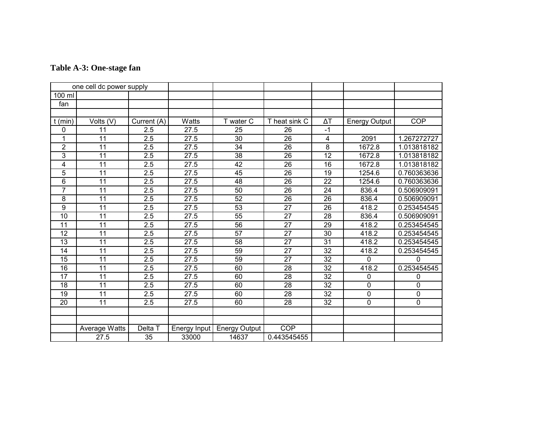| Table A-3: One-stage fan |
|--------------------------|
|--------------------------|

| one cell dc power supply |                 |                  |                     |                      |                 |                 |                      |             |  |
|--------------------------|-----------------|------------------|---------------------|----------------------|-----------------|-----------------|----------------------|-------------|--|
| 100 ml                   |                 |                  |                     |                      |                 |                 |                      |             |  |
| fan                      |                 |                  |                     |                      |                 |                 |                      |             |  |
|                          |                 |                  |                     |                      |                 |                 |                      |             |  |
| (min)                    | Volts (V)       | Current (A)      | Watts               | T water C            | T heat sink C   | ΔΤ              | <b>Energy Output</b> | <b>COP</b>  |  |
| 0                        | 11              | 2.5              | 27.5                | 25                   | 26              | $-1$            |                      |             |  |
| 1                        | 11              | 2.5              | 27.5                | 30                   | 26              | $\overline{4}$  | 2091                 | 1.267272727 |  |
| $\overline{2}$           | 11              | 2.5              | 27.5                | 34                   | 26              | 8               | 1672.8               | 1.013818182 |  |
| 3                        | 11              | 2.5              | 27.5                | 38                   | 26              | 12              | 1672.8               | 1.013818182 |  |
| 4                        | 11              | 2.5              | 27.5                | 42                   | 26              | 16              | 1672.8               | 1.013818182 |  |
| $\overline{5}$           | 11              | 2.5              | 27.5                | 45                   | 26              | 19              | 1254.6               | 0.760363636 |  |
| 6                        | 11              | $\overline{2.5}$ | $\overline{27.5}$   | $\overline{48}$      | $\overline{26}$ | $\overline{22}$ | 1254.6               | 0.760363636 |  |
| $\overline{7}$           | 11              | 2.5              | 27.5                | 50                   | 26              | 24              | 836.4                | 0.506909091 |  |
| $\overline{8}$           | $\overline{11}$ | 2.5              | 27.5                | 52                   | 26              | $\overline{26}$ | 836.4                | 0.506909091 |  |
| $\overline{9}$           | $\overline{11}$ | 2.5              | 27.5                | 53                   | $\overline{27}$ | 26              | 418.2                | 0.253454545 |  |
| 10                       | 11              | 2.5              | 27.5                | 55                   | 27              | 28              | 836.4                | 0.506909091 |  |
| 11                       | 11              | 2.5              | 27.5                | 56                   | 27              | 29              | 418.2                | 0.253454545 |  |
| 12                       | 11              | 2.5              | 27.5                | 57                   | 27              | 30              | 418.2                | 0.253454545 |  |
| 13                       | 11              | 2.5              | 27.5                | 58                   | 27              | 31              | 418.2                | 0.253454545 |  |
| 14                       | 11              | 2.5              | 27.5                | 59                   | $\overline{27}$ | 32              | 418.2                | 0.253454545 |  |
| 15                       | 11              | 2.5              | 27.5                | 59                   | 27              | 32              | 0                    | $\Omega$    |  |
| 16                       | 11              | 2.5              | 27.5                | 60                   | 28              | 32              | 418.2                | 0.253454545 |  |
| 17                       | 11              | 2.5              | 27.5                | 60                   | 28              | 32              | 0                    | 0           |  |
| 18                       | 11              | 2.5              | 27.5                | 60                   | 28              | 32              | $\mathbf 0$          | 0           |  |
| 19                       | 11              | 2.5              | 27.5                | 60                   | 28              | 32              | 0                    | $\mathbf 0$ |  |
| 20                       | 11              | 2.5              | 27.5                | 60                   | 28              | 32              | $\mathbf 0$          | $\mathbf 0$ |  |
|                          |                 |                  |                     |                      |                 |                 |                      |             |  |
|                          |                 |                  |                     |                      |                 |                 |                      |             |  |
|                          | Average Watts   | Delta T          | <b>Energy Input</b> | <b>Energy Output</b> | <b>COP</b>      |                 |                      |             |  |
|                          | 27.5            | 35               | 33000               | 14637                | 0.443545455     |                 |                      |             |  |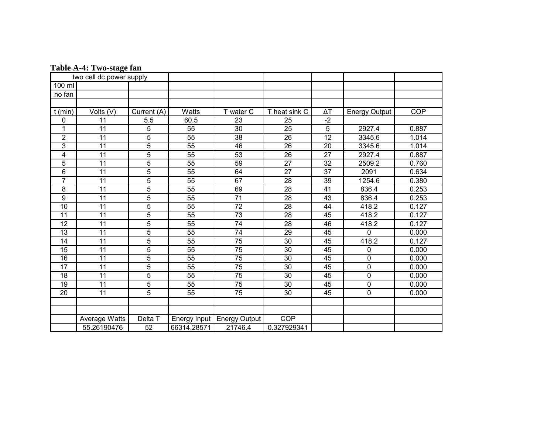|                  | two cell dc power supply |                |                 |                      |                 |                 |                      |            |
|------------------|--------------------------|----------------|-----------------|----------------------|-----------------|-----------------|----------------------|------------|
| 100 ml           |                          |                |                 |                      |                 |                 |                      |            |
| no fan           |                          |                |                 |                      |                 |                 |                      |            |
|                  |                          |                |                 |                      |                 |                 |                      |            |
| $t$ (min)        | Volts (V)                | Current (A)    | Watts           | T water C            | T heat sink C   | ΔΤ              | <b>Energy Output</b> | <b>COP</b> |
| 0                | 11                       | 5.5            | 60.5            | 23                   | 25              | $-2$            |                      |            |
| 1                | 11                       | 5              | 55              | 30                   | 25              | 5               | 2927.4               | 0.887      |
| $\overline{2}$   | 11                       | $\overline{5}$ | $\overline{55}$ | $\overline{38}$      | $\overline{26}$ | $\overline{12}$ | 3345.6               | 1.014      |
| 3                | 11                       | 5              | $\overline{55}$ | 46                   | 26              | 20              | 3345.6               | 1.014      |
| 4                | 11                       | 5              | 55              | $\overline{53}$      | $\overline{26}$ | $\overline{27}$ | 2927.4               | 0.887      |
| 5                | 11                       | 5              | 55              | 59                   | 27              | 32              | 2509.2               | 0.760      |
| 6                | 11                       | $\overline{5}$ | $\overline{55}$ | 64                   | $\overline{27}$ | $\overline{37}$ | 2091                 | 0.634      |
| $\overline{7}$   | 11                       | 5              | $\overline{55}$ | 67                   | 28              | 39              | 1254.6               | 0.380      |
| 8                | 11                       | 5              | 55              | 69                   | 28              | 41              | 836.4                | 0.253      |
| $\boldsymbol{9}$ | 11                       | 5              | 55              | $\overline{71}$      | 28              | 43              | 836.4                | 0.253      |
| $\overline{10}$  | 11                       | 5              | $\overline{55}$ | $\overline{72}$      | 28              | 44              | 418.2                | 0.127      |
| 11               | 11                       | 5              | $\overline{55}$ | $\overline{73}$      | 28              | 45              | 418.2                | 0.127      |
| 12               | 11                       | 5              | 55              | 74                   | 28              | 46              | 418.2                | 0.127      |
| $\overline{13}$  | $\overline{11}$          | $\overline{5}$ | 55              | 74                   | $\overline{29}$ | 45              | 0                    | 0.000      |
| 14               | 11                       | $\overline{5}$ | 55              | $\overline{75}$      | 30              | 45              | 418.2                | 0.127      |
| 15               | 11                       | $\overline{5}$ | 55              | 75                   | 30              | 45              | 0                    | 0.000      |
| 16               | 11                       | 5              | 55              | $\overline{75}$      | 30              | 45              | $\mathbf 0$          | 0.000      |
| 17               | 11                       | 5              | $\overline{55}$ | $\overline{75}$      | $\overline{30}$ | 45              | $\boldsymbol{0}$     | 0.000      |
| 18               | 11                       | 5              | 55              | 75                   | 30              | 45              | $\mathbf 0$          | 0.000      |
| $\overline{19}$  | 11                       | 5              | 55              | $\overline{75}$      | $\overline{30}$ | 45              | $\mathbf 0$          | 0.000      |
| $\overline{20}$  | 11                       | 5              | 55              | $\overline{75}$      | 30              | 45              | 0                    | 0.000      |
|                  |                          |                |                 |                      |                 |                 |                      |            |
|                  |                          |                |                 |                      |                 |                 |                      |            |
|                  | Average Watts            | Delta T        | Energy Input    | <b>Energy Output</b> | <b>COP</b>      |                 |                      |            |
|                  | 55.26190476              | 52             | 66314.28571     | 21746.4              | 0.327929341     |                 |                      |            |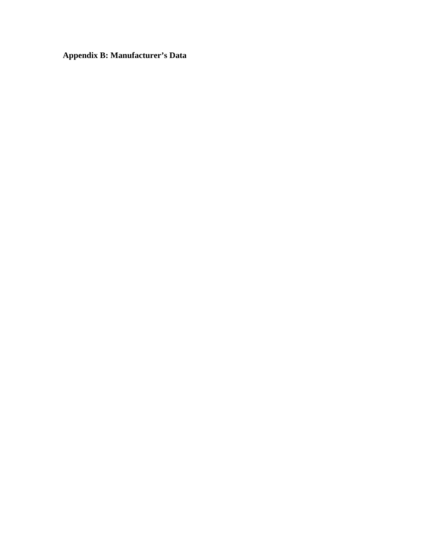**Appendix B: Manufacturer's Data**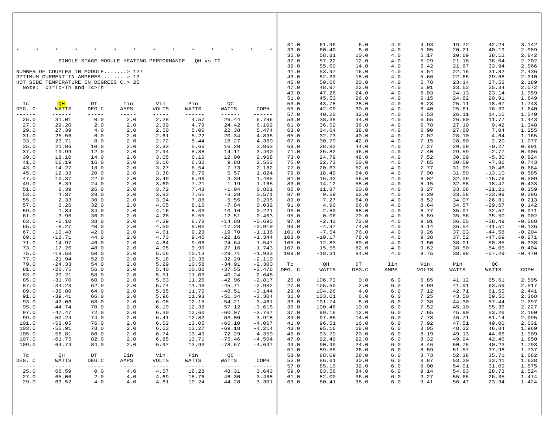| $\star$          |                                                                    |                        |                                         |                               |                          |                      | $\star$                            | 31.0<br>33.0          | 61.96<br>60.40          | $6.0$<br>8.0 | 4.0<br>4.0   | 4.93<br>5.05  | 19.72<br>20.21           | 42.24<br>40.19         | 3.142<br>2.989       |
|------------------|--------------------------------------------------------------------|------------------------|-----------------------------------------|-------------------------------|--------------------------|----------------------|------------------------------------|-----------------------|-------------------------|--------------|--------------|---------------|--------------------------|------------------------|----------------------|
|                  |                                                                    |                        | SINGLE STAGE MODULE HEATING PERFORMANCE |                               | OH VS TC                 |                      |                                    | 35.0<br>37.0          | 58.81<br>57.22          | 10.0<br>12.0 | 4.0<br>4.0   | 5.17<br>5.29  | 20.69<br>21.18           | 38.12<br>36.04         | 2.842<br>2.702       |
|                  | NUMBER OF COUPLES IN MODULE> 127                                   |                        |                                         |                               |                          |                      |                                    | 39.0<br>41.0          | 55.60<br>53.97          | 14.0<br>16.0 | 4.0<br>4.0   | 5.42<br>5.54  | 21.67<br>22.16           | 33.94<br>31.82         | 2.566<br>2.436       |
|                  | OPTIMUM CURRENT IN AMPERES> 12                                     |                        |                                         |                               |                          |                      |                                    | 43.0                  | 52.33                   | 18.0         | 4.0          | 5.66          | 22.65                    | 29.68                  | 2.310                |
|                  | HOT SIDE TEMPERATURE IN DEGREES C.> 25<br>Note: DT=Tc-Th and Tc>Th |                        |                                         |                               |                          |                      |                                    | 45.0<br>47.0          | 50.66<br>48.97          | 20.0<br>22.0 | 4.0<br>4.0   | 5.78<br>5.91  | 23.14<br>23.63           | 27.52<br>25.34         | 2.189<br>2.072       |
|                  |                                                                    |                        |                                         |                               |                          |                      |                                    | 49.0                  | 47.26                   | 24.0         | 4.0          | 6.03          | 24.13                    | 23.14                  | 1.959                |
| Тc               | QH                                                                 | $_{\rm DT}$            | Iin                                     | Vin                           | Pin                      | QC                   |                                    | 51.0<br>53.0          | 45.53<br>43.78          | 26.0<br>28.0 | 4.0<br>4.0   | 6.15<br>6.28  | 24.62<br>25.11           | 20.91<br>18.67         | 1.849<br>1.743       |
| DEG. C<br>------ | WATTS<br>$- - - - - -$                                             | DEG.C<br>$- - - - - -$ | AMPS<br>-----                           | <b>VOLTS</b><br>$- - - - - -$ | WATTS<br>$- - - - - - -$ | WATTS<br>------      | COPH<br>------                     | 55.0<br>57.0          | 42.00<br>40.20          | 30.0<br>32.0 | 4.0<br>4.0   | 6.40<br>6.53  | 25.61<br>26.11           | 16.39<br>14.10         | 1.640<br>1.540       |
| 25.0             | 31.01                                                              | 0.0                    | 2.0                                     | 2.28                          | 4.57                     | 26.44                | 6.786                              | 59.0                  | 38.38                   | 34.0         | 4.0          | 6.65          | 26.60                    | 11.77                  | 1.443                |
| 27.0<br>29.0     | 29.20<br>27.39                                                     | 2.0<br>4.0             | 2.0<br>2.0                              | 2.39<br>2.50                  | 4.79<br>5.00             | 24.42<br>22.38       | 6.102<br>5.474                     | 61.0<br>63.0          | 36.52<br>34.64          | 36.0<br>38.0 | 4.0<br>4.0   | 6.78<br>6.90  | 27.10<br>27.60           | 9.42<br>7.04           | 1.348<br>1.255       |
| 31.0<br>33.0     | 25.56<br>23.71                                                     | 6.0<br>8.0             | 2.0<br>2.0                              | 2.61<br>2.72                  | 5.22<br>5.44             | 20.34<br>18.27       | 4.895<br>4.360                     | 65.0<br>67.0          | 32.73<br>30.79          | 40.0<br>42.0 | 4.0<br>4.0   | 7.02<br>7.15  | 28.10<br>28.60           | 4.64<br>2.20           | 1.165<br>1.077       |
| 35.0             | 21.86                                                              | 10.0                   | 2.0                                     | 2.83                          | 5.66                     | 16.20                | 3.863                              | 69.0                  | 28.82                   | 44.0         | 4.0          | 7.27          | 29.09                    | $-0.27$                | 0.991                |
| 37.0<br>39.0     | 19.99<br>18.10                                                     | 12.0<br>14.0           | 2.0<br>2.0                              | 2.94<br>3.05                  | 5.88<br>6.10             | 14.11<br>12.00       | 3.400<br>2.968                     | 71.0<br>73.0          | 26.82<br>24.79          | 46.0<br>48.0 | 4.0<br>4.0   | 7.40<br>7.52  | 29.59<br>30.09           | $-2.77$<br>$-5.30$     | 0.906<br>0.824       |
| 41.0             | 16.19                                                              | 16.0                   | 2.0                                     | 3.16                          | 6.32                     | 9.88                 | 2.563                              | 75.0                  | 22.73                   | 50.0         | 4.0          | 7.65          | 30.59                    | $-7.86$                | 0.743                |
| 43.0<br>45.0     | 14.27<br>12.33                                                     | 18.0<br>20.0           | 2.0<br>2.0                              | 3.27<br>3.38                  | 6.54<br>6.76             | 7.73<br>5.57         | 2.182<br>1.824                     | 77.0<br>79.0          | 20.63<br>18.49          | 52.0<br>54.0 | 4.0<br>4.0   | 7.77<br>7.90  | 31.09<br>31.59           | $-10.46$<br>$-13.10$   | 0.664<br>0.585       |
| 47.0             | 10.37                                                              | 22.0                   | 2.0                                     | 3.49                          | 6.98                     | 3.39                 | 1.485                              | 81.0                  | 16.32                   | 56.0         | 4.0          | 8.02          | 32.09                    | $-15.76$               | 0.509                |
| 49.0<br>51.0     | 8.39<br>6.39                                                       | 24.0<br>26.0           | 2.0<br>2.0                              | 3.60<br>3.72                  | 7.21<br>7.43             | 1.19<br>$-1.04$      | 1.165<br>0.861                     | 83.0<br>85.0          | 14.12<br>11.87          | 58.0<br>60.0 | 4.0<br>4.0   | 8.15<br>8.27  | 32.58<br>33.08           | $-18.47$<br>$-21.21$   | 0.433<br>0.359       |
| 53.0             | 4.37                                                               | 28.0                   | 2.0                                     | 3.83                          | 7.65                     | $-3.28$              | 0.571                              | 87.0                  | 9.59                    | 62.0         | 4.0          | 8.39          | 33.58                    | $-23.99$               | 0.286                |
| 55.0<br>57.0     | 2.33<br>0.26                                                       | 30.0<br>32.0           | 2.0<br>2.0                              | 3.94<br>4.05                  | 7.88<br>8.10             | $-5.55$<br>$-7.84$   | 0.295<br>0.032                     | 89.0<br>91.0          | 7.27<br>4.90            | 64.0<br>66.0 | 4.0<br>4.0   | 8.52<br>8.64  | 34.07<br>34.57           | $-26.81$<br>$-29.67$   | 0.213<br>0.142       |
| 59.0             | $-1.84$                                                            | 34.0                   | 2.0                                     | 4.16                          | 8.33                     | $-10.16$             | $-0.221$                           | 93.0                  | 2.50                    | 68.0         | 4.0          | 8.77          | 35.07                    | $-32.57$               | 0.071                |
| 61.0<br>63.0     | $-3.96$<br>$-6.10$                                                 | 36.0<br>38.0           | 2.0<br>2.0                              | 4.28<br>4.39                  | 8.55<br>8.78             | $-12.51$<br>$-14.88$ | $-0.463$<br>$-0.695$               | 95.0<br>97.0          | 0.06<br>$-2.43$         | 70.0<br>72.0 | 4.0<br>4.0   | 8.89<br>9.01  | 35.56<br>36.05           | $-35.50$<br>$-38.49$   | 0.002<br>$-0.068$    |
| 65.0<br>67.0     | $-8.27$<br>$-10.48$                                                | 40.0<br>42.0           | 2.0<br>2.0                              | 4.50<br>4.61                  | 9.00<br>9.23             | $-17.28$<br>$-19.70$ | $-0.919$<br>$-1.136$               | 99.0<br>101.0         | $-4.97$<br>$-7.54$      | 74.0<br>76.0 | 4.0<br>4.0   | 9.14<br>9.26  | 36.54<br>37.03           | $-41.51$<br>$-44.58$   | $-0.136$<br>$-0.204$ |
| 69.0             | $-12.71$                                                           | 44.0                   | 2.0                                     | 4.73                          | 9.45                     | $-22.16$             | $-1.344$                           | 103.0                 | $-10.17$                | 78.0         | 4.0          | 9.38          | 37.52                    | $-47.69$               | $-0.271$             |
| 71.0<br>73.0     | $-14.97$<br>$-17.26$                                               | 46.0<br>48.0           | 2.0<br>2.0                              | 4.84<br>4.95                  | 9.68<br>9.90             | $-24.64$<br>$-27.16$ | $-1.547$<br>$-1.743$               | 105.0<br>107.0        | $-12.83$<br>$-15.55$    | 80.0<br>82.0 | 4.0<br>4.0   | 9.50<br>9.62  | 38.01<br>38.50           | $-50.85$<br>$-54.05$   | $-0.338$<br>$-0.404$ |
| 75.0             | $-19.58$                                                           | 50.0                   | 2.0                                     | 5.06                          | 10.13                    | $-29.71$             | $-1.933$                           | 109.0                 | $-18.31$                | 84.0         | 4.0          | 9.75          | 38.98                    | $-57.29$               | $-0.470$             |
| 77.0<br>79.0     | $-21.94$<br>$-24.33$                                               | 52.0<br>54.0           | 2.0<br>2.0                              | 5.18<br>5.29                  | 10.35<br>10.58           | $-32.29$<br>$-34.91$ | $-2.119$<br>$-2.300$               | Tc                    | QH                      | DT           | Iin          | Vin           | Pin                      | QС                     |                      |
| 81.0             | $-26.75$                                                           | 56.0                   | 2.0                                     | 5.40                          | 10.80                    | $-37.55$             | $-2.476$                           | DEG. C                | WATTS                   | DEG.C        | AMPS         | <b>VOLTS</b>  | WATTS                    | WATTS                  | COPH                 |
| 83.0<br>85.0     | $-29.21$<br>$-31.70$                                               | 58.0<br>60.0           | 2.0<br>2.0                              | 5.51<br>5.63                  | 11.03<br>11.25           | $-40.24$<br>$-42.96$ | $-2.648$<br>$-2.817$               | $- - - - - -$<br>25.0 | $- - - - - -$<br>106.73 | 0.0          | $6.0$        | -----<br>6.85 | $- - - - - - -$<br>41.12 | $- - - - - -$<br>65.61 | ------<br>2.595      |
| 87.0             | $-34.23$                                                           | 62.0                   | 2.0                                     | 5.74                          | 11.48                    | $-45.71$             | $-2.982$                           | 27.0                  | 105.50                  | 2.0          | 6.0          | 6.99          | 41.91                    | 63.59                  | 2.517                |
| 89.0<br>91.0     | $-36.80$<br>$-39.41$                                               | 64.0<br>66.0           | 2.0<br>2.0                              | 5.85<br>5.96                  | 11.70<br>11.93           | $-48.51$<br>$-51.34$ | $-3.144$<br>$-3.304$               | 29.0<br>31.0          | 104.26<br>103.01        | 4.0<br>6.0   | 6.0<br>6.0   | 7.12<br>7.25  | 42.71<br>43.50           | 61.55<br>59.50         | 2.441<br>2.368       |
| 93.0<br>95.0     | $-42.06$<br>$-44.74$                                               | 68.0<br>70.0           | 2.0<br>2.0                              | 6.08<br>6.19                  | 12.15<br>12.38           | $-54.21$<br>$-57.12$ | $-3.461$<br>$-3.615$               | 33.0<br>35.0          | 101.74<br>100.46        | 8.0<br>10.0  | 6.0<br>6.0   | 7.38<br>7.52  | 44.30<br>45.10           | 57.44<br>55.36         | 2.297<br>2.227       |
| 97.0             | $-47.47$                                                           | 72.0                   | 2.0                                     | 6.30                          | 12.60                    | $-60.07$             | $-3.767$                           | 37.0                  | 99.16                   | 12.0         | 6.0          | 7.65          | 45.90                    | 53.26                  | 2.160                |
| 99.0<br>101.0    | $-50.24$<br>$-53.05$                                               | 74.0<br>76.0           | 2.0<br>2.0                              | 6.41<br>6.52                  | 12.82<br>13.05           | $-63.06$<br>$-66.10$ | $-3.918$<br>$-4.067$               | 39.0<br>41.0          | 97.85<br>96.51          | 14.0<br>16.0 | 6.0<br>6.0   | 7.78<br>7.92  | 46.71<br>47.51           | 51.14<br>49.00         | 2.095<br>2.031       |
| 103.0            | $-55.91$                                                           | 78.0                   | 2.0                                     | 6.63                          | 13.27                    | $-69.18$             | $-4.214$                           | 43.0                  | 95.16                   | 18.0         | 6.0          | 8.05          | 48.32                    | 46.84                  | 1.969                |
| 105.0<br>107.0   | $-58.81$<br>$-61.75$                                               | 80.0<br>82.0           | 2.0<br>2.0                              | 6.74<br>6.85                  | 13.49<br>13.71           | $-72.29$<br>$-75.46$ | $-4.359$<br>$-4.504$               | 45.0<br>47.0          | 93.79<br>92.40          | 20.0<br>22.0 | 6.0<br>$6.0$ | 8.19<br>8.32  | 49.13<br>49.94           | 44.66<br>42.46         | 1.909<br>1.850       |
| 109.0            | $-64.74$                                                           | 84.0                   | 2.0                                     | 6.97                          | 13.93                    | $-78.67$             | $-4.647$                           | 49.0                  | 90.99                   | 24.0         | 6.0          | 8.46          | 50.75                    | 40.23                  | 1.793                |
| Tc               | QH                                                                 | DT                     | Iin                                     | Vin                           | Pin                      | QC                   |                                    | 51.0<br>53.0          | 89.55<br>88.09          | 26.0<br>28.0 | 6.0<br>$6.0$ | 8.59<br>8.73  | 51.57<br>52.38           | 37.98<br>35.71         | 1.737<br>1.682       |
| DEG. C<br>------ | WATTS<br>------                                                    | DEG.C<br>$- - - - - -$ | AMPS<br>$- - - - - -$                   | VOLTS<br>$- - - - - -$        | WATTS                    | WATTS<br>------      | COPH<br>$\cdots\cdots\cdots\cdots$ | 55.0                  | 86.61                   | 30.0         | 6.0          | 8.87          | 53.20                    | 33.41                  | 1.628                |
| 25.0             | 66.59                                                              | 0.0                    | 4.0                                     | 4.57                          | 18.28                    | 48.31                | 3.643                              | 57.0<br>59.0          | 85.10<br>83.56          | 32.0<br>34.0 | 6.0<br>6.0   | 9.00<br>9.14  | 54.01<br>54.83           | 31.09<br>28.73         | 1.575<br>1.524       |
| 27.0<br>29.0     | 65.06<br>63.52                                                     | 2.0<br>4.0             | 4.0<br>4.0                              | 4.69<br>4.81                  | 18.76<br>19.24           | 46.30<br>44.28       | 3.468<br>3.301                     | 61.0<br>63.0          | 82.00<br>80.41          | 36.0<br>38.0 | $6.0$<br>6.0 | 9.27<br>9.41  | 55.65<br>56.47           | 26.35<br>23.94         | 1.474<br>1.424       |
|                  |                                                                    |                        |                                         |                               |                          |                      |                                    |                       |                         |              |              |               |                          |                        |                      |
|                  |                                                                    |                        |                                         |                               |                          |                      |                                    |                       |                         |              |              |               |                          |                        |                      |
|                  |                                                                    |                        |                                         |                               |                          |                      |                                    |                       |                         |              |              |               |                          |                        |                      |
|                  |                                                                    |                        |                                         |                               |                          |                      |                                    |                       |                         |              |              |               |                          |                        |                      |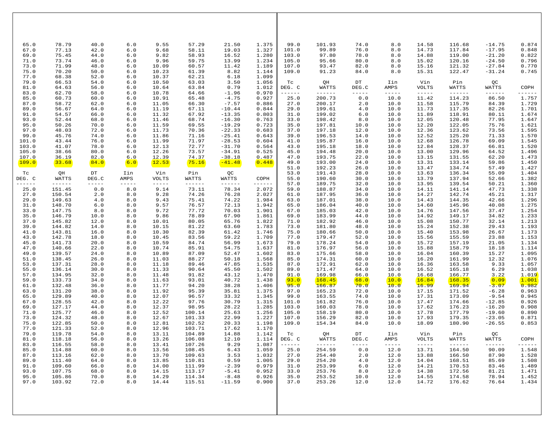| 65.0                                            | 78.79                                | 40.0                         | $6.0$                        | 9.55                             | 57.29                                | 21.50                            | 1.375                            | 99.0                                    | 101.93                                   | 74.0                                                 | 8.0                                                                                                                                                                                                                                                                                                                                                                                                         | 14.58                                  | 116.68                                                                                                                                                                                                                                                                                                                                                                                                       | $-14.75$                             | 0.874                            |
|-------------------------------------------------|--------------------------------------|------------------------------|------------------------------|----------------------------------|--------------------------------------|----------------------------------|----------------------------------|-----------------------------------------|------------------------------------------|------------------------------------------------------|-------------------------------------------------------------------------------------------------------------------------------------------------------------------------------------------------------------------------------------------------------------------------------------------------------------------------------------------------------------------------------------------------------------|----------------------------------------|--------------------------------------------------------------------------------------------------------------------------------------------------------------------------------------------------------------------------------------------------------------------------------------------------------------------------------------------------------------------------------------------------------------|--------------------------------------|----------------------------------|
| 67.0                                            | 77.13                                | 42.0                         | 6.0                          | 9.68                             | 58.11                                | 19.03                            | 1.327                            | 101.0                                   | 99.89                                    | 76.0                                                 | 8.0                                                                                                                                                                                                                                                                                                                                                                                                         | 14.73                                  | 117.84                                                                                                                                                                                                                                                                                                                                                                                                       | $-17.95$                             | 0.848                            |
| 69.0                                            | 75.45                                | 44.0                         | 6.0                          | 9.82                             | 58.93                                | 16.52                            | 1.280                            | 103.0                                   | 97.80                                    | 78.0                                                 | 8.0                                                                                                                                                                                                                                                                                                                                                                                                         | 14.88                                  | 119.00                                                                                                                                                                                                                                                                                                                                                                                                       | $-21.20$                             | 0.822                            |
| 71.0<br>73.0<br>75.0<br>77.0                    | 73.74<br>71.99<br>70.20<br>68.38     | 46.0<br>48.0<br>50.0<br>52.0 | 6.0<br>6.0<br>6.0<br>6.0     | 9.96<br>10.09<br>10.23<br>10.37  | 59.75<br>60.57<br>61.39<br>62.21     | 13.99<br>11.42<br>8.82<br>6.18   | 1.234<br>1.189<br>1.144<br>1.099 | 105.0<br>107.0<br>109.0                 | 95.66<br>93.47<br>91.23                  | 80.0<br>82.0<br>84.0                                 | 8.0<br>8.0<br>8.0                                                                                                                                                                                                                                                                                                                                                                                           | 15.02<br>15.16<br>15.31                | 120.16<br>121.32<br>122.47                                                                                                                                                                                                                                                                                                                                                                                   | $-24.50$<br>$-27.84$<br>-31.24       | 0.796<br>0.770<br>0.745          |
| 79.0<br>81.0<br>83.0                            | 66.53<br>64.63<br>62.70              | 54.0<br>56.0<br>58.0         | 6.0<br>6.0<br>6.0            | 10.50<br>10.64<br>10.78          | 63.03<br>63.84<br>64.66              | 3.50<br>0.79<br>$-1.96$          | 1.056<br>1.012<br>0.970          | Tc<br>DEG. C<br>------                  | QH<br>WATTS<br>------                    | $\mathop{\rm DT}\nolimits$<br>DEG.C<br>$- - - - - -$ | Iin<br>AMPS<br>$\frac{1}{2} \frac{1}{2} \frac{1}{2} \frac{1}{2} \frac{1}{2} \frac{1}{2} \frac{1}{2} \frac{1}{2} \frac{1}{2} \frac{1}{2} \frac{1}{2} \frac{1}{2} \frac{1}{2} \frac{1}{2} \frac{1}{2} \frac{1}{2} \frac{1}{2} \frac{1}{2} \frac{1}{2} \frac{1}{2} \frac{1}{2} \frac{1}{2} \frac{1}{2} \frac{1}{2} \frac{1}{2} \frac{1}{2} \frac{1}{2} \frac{1}{2} \frac{1}{2} \frac{1}{2} \frac{1}{2} \frac{$ | Vin<br><b>VOLTS</b><br>$- - - - - -$   | Pin<br>WATTS<br>$\frac{1}{2} \frac{1}{2} \frac{1}{2} \frac{1}{2} \frac{1}{2} \frac{1}{2} \frac{1}{2} \frac{1}{2} \frac{1}{2} \frac{1}{2} \frac{1}{2} \frac{1}{2} \frac{1}{2} \frac{1}{2} \frac{1}{2} \frac{1}{2} \frac{1}{2} \frac{1}{2} \frac{1}{2} \frac{1}{2} \frac{1}{2} \frac{1}{2} \frac{1}{2} \frac{1}{2} \frac{1}{2} \frac{1}{2} \frac{1}{2} \frac{1}{2} \frac{1}{2} \frac{1}{2} \frac{1}{2} \frac{$ | QC<br>WATTS<br>------                | COPH<br>------                   |
| 85.0                                            | 60.73                                | 60.0                         | 6.0                          | 10.91                            | 65.48                                | $-4.75$                          | 0.927                            | 25.0                                    | 200.73                                   | 0.0                                                  | 10.0                                                                                                                                                                                                                                                                                                                                                                                                        | 11.42                                  | 114.23                                                                                                                                                                                                                                                                                                                                                                                                       | 86.50                                | 1.757                            |
| 87.0                                            | 58.72                                | 62.0                         | 6.0                          | 11.05                            | 66.30                                | $-7.57$                          | 0.886                            | 27.0                                    | 200.17                                   | 2.0                                                  | 10.0                                                                                                                                                                                                                                                                                                                                                                                                        | 11.58                                  | 115.79                                                                                                                                                                                                                                                                                                                                                                                                       | 84.39                                | 1.729                            |
| 89.0                                            | 56.67                                | 64.0                         | 6.0                          | 11.19                            | 67.11                                | $-10.44$                         | 0.844                            | 29.0                                    | 199.61                                   | 4.0                                                  | 10.0                                                                                                                                                                                                                                                                                                                                                                                                        | 11.73                                  | 117.35                                                                                                                                                                                                                                                                                                                                                                                                       | 82.26                                | 1.701                            |
| 91.0                                            | 54.57                                | 66.0                         | 6.0                          | 11.32                            | 67.92                                | $-13.35$                         | 0.803                            | 31.0                                    | 199.02                                   | 6.0                                                  | 10.0                                                                                                                                                                                                                                                                                                                                                                                                        | 11.89                                  | 118.91                                                                                                                                                                                                                                                                                                                                                                                                       | 80.11                                | 1.674                            |
| 93.0                                            | 52.44                                | 68.0                         | 6.0                          | 11.46                            | 68.74                                | $-16.30$                         | 0.763                            | 33.0                                    | 198.42                                   | 8.0                                                  | 10.0                                                                                                                                                                                                                                                                                                                                                                                                        | 12.05                                  | 120.48                                                                                                                                                                                                                                                                                                                                                                                                       | 77.95                                | 1.647                            |
| 95.0                                            | 50.26                                | 70.0                         | 6.0                          | 11.59                            | 69.55                                | $-19.29$                         | 0.723                            | 35.0                                    | 197.81                                   | 10.0                                                 | 10.0                                                                                                                                                                                                                                                                                                                                                                                                        | 12.20                                  | 122.05                                                                                                                                                                                                                                                                                                                                                                                                       | 75.76                                | 1.621                            |
| 97.0                                            | 48.03                                | 72.0                         | 6.0                          | 11.73                            | 70.36                                | $-22.33$                         | 0.683                            | 37.0                                    | 197.18                                   | 12.0                                                 | 10.0                                                                                                                                                                                                                                                                                                                                                                                                        | 12.36                                  | 123.62                                                                                                                                                                                                                                                                                                                                                                                                       | 73.56                                | 1.595                            |
| 99.0                                            | 45.76                                | 74.0                         | 6.0                          | 11.86                            | 71.16                                | $-25.41$                         | 0.643                            | 39.0                                    | 196.53                                   | 14.0                                                 | 10.0                                                                                                                                                                                                                                                                                                                                                                                                        | 12.52                                  | 125.20                                                                                                                                                                                                                                                                                                                                                                                                       | 71.33                                | 1.570                            |
| 101.0                                           | 43.44                                | 76.0                         | 6.0                          | 11.99                            | 71.97                                | $-28.53$                         | 0.604                            | 41.0                                    | 195.87                                   | 16.0                                                 | 10.0                                                                                                                                                                                                                                                                                                                                                                                                        | 12.68                                  | 126.78                                                                                                                                                                                                                                                                                                                                                                                                       | 69.09                                | 1.545                            |
| 103.0                                           | 41.07                                | 78.0                         | 6.0                          | 12.13                            | 72.77                                | $-31.70$                         | 0.564                            | 43.0                                    | 195.18                                   | 18.0                                                 | 10.0                                                                                                                                                                                                                                                                                                                                                                                                        | 12.84                                  | 128.37                                                                                                                                                                                                                                                                                                                                                                                                       | 66.81                                | 1.520                            |
| 105.0                                           | 38.66                                | 80.0                         | 6.0                          | 12.26                            | 73.57                                | $-34.91$                         | 0.525                            | 45.0                                    | 194.48                                   | 20.0                                                 | 10.0                                                                                                                                                                                                                                                                                                                                                                                                        | 13.00                                  | 129.96                                                                                                                                                                                                                                                                                                                                                                                                       | 64.52                                | 1.496                            |
| 107.0                                           | 36.19                                | 82.0                         | 6.0                          | 12.39                            | 74.37                                | $-38.18$                         | 0.487                            | 47.0                                    | 193.75                                   | 22.0                                                 | 10.0                                                                                                                                                                                                                                                                                                                                                                                                        | 13.15                                  | 131.55                                                                                                                                                                                                                                                                                                                                                                                                       | 62.20                                | 1.473                            |
| 109.0<br>$\operatorname{\mathsf{TC}}$<br>DEG. C | 33.68<br>QH<br>WATTS                 | 84.0<br>DT<br>DEG.C          | 6.0<br>Iin<br>AMPS           | 12.53<br>Vin<br>VOLTS            | 75.16<br>Pin<br>WATTS                | $-41.48$<br>QC<br>WATTS          | 0.448<br>COPH                    | 49.0<br>51.0<br>53.0<br>55.0            | 193.00<br>192.23<br>191.43<br>190.60     | 24.0<br>26.0<br>28.0<br>30.0                         | 10.0<br>10.0<br>10.0<br>10.0                                                                                                                                                                                                                                                                                                                                                                                | 13.31<br>13.47<br>13.63<br>13.79       | 133.14<br>134.74<br>136.34<br>137.94                                                                                                                                                                                                                                                                                                                                                                         | 59.86<br>57.49<br>55.09<br>52.66     | 1.450<br>1.427<br>1.404<br>1.382 |
| ------                                          | $- - - - - - -$                      | $- - - - -$                  | $- - - - - -$                | $- - - - -$                      | $- - - - - - -$                      | $- - - - - -$                    | ------                           | 57.0                                    | 189.75                                   | 32.0                                                 | 10.0                                                                                                                                                                                                                                                                                                                                                                                                        | 13.95                                  | 139.54                                                                                                                                                                                                                                                                                                                                                                                                       | 50.21                                | 1.360                            |
| 25.0                                            | 151.45                               | 0.0                          | 8.0                          | 9.14                             | 73.11                                | 78.34                            | 2.072                            | 59.0                                    | 188.87                                   | 34.0                                                 | 10.0                                                                                                                                                                                                                                                                                                                                                                                                        | 14.11                                  | 141.14                                                                                                                                                                                                                                                                                                                                                                                                       | 47.73                                | 1.338                            |
| 27.0                                            | 150.54                               | 2.0                          | $8.0$                        | 9.28                             | 74.26                                | 76.28                            | 2.027                            | 61.0                                    | 187.95                                   | 36.0                                                 | 10.0                                                                                                                                                                                                                                                                                                                                                                                                        | 14.27                                  | 142.74                                                                                                                                                                                                                                                                                                                                                                                                       | 45.21                                | 1.317                            |
| 29.0                                            | 149.63                               | 4.0                          | 8.0                          | 9.43                             | 75.41                                | 74.22                            | 1.984                            | 63.0                                    | 187.01                                   | 38.0                                                 | 10.0                                                                                                                                                                                                                                                                                                                                                                                                        | 14.43                                  | 144.35                                                                                                                                                                                                                                                                                                                                                                                                       | 42.66                                | 1.296                            |
| 31.0                                            | 148.70                               | 6.0                          | 8.0                          | 9.57                             | 76.57                                | 72.13                            | 1.942                            | 65.0                                    | 186.04                                   | 40.0                                                 | 10.0                                                                                                                                                                                                                                                                                                                                                                                                        | 14.60                                  | 145.96                                                                                                                                                                                                                                                                                                                                                                                                       | 40.08                                | 1.275                            |
| 33.0                                            | 147.75                               | 8.0                          | 8.0                          | 9.72                             | 77.72                                | 70.03                            | 1.901                            | 67.0                                    | 185.03                                   | 42.0                                                 | 10.0                                                                                                                                                                                                                                                                                                                                                                                                        | 14.76                                  | 147.56                                                                                                                                                                                                                                                                                                                                                                                                       | 37.47                                | 1.254                            |
| 35.0                                            | 146.79                               | 10.0                         | $8.0$                        | 9.86                             | 78.89                                | 67.90                            | 1.861                            | 69.0                                    | 183.99                                   | 44.0                                                 | 10.0                                                                                                                                                                                                                                                                                                                                                                                                        | 14.92                                  | 149.17                                                                                                                                                                                                                                                                                                                                                                                                       | 34.82                                | 1.233                            |
| 37.0                                            | 145.82                               | 12.0                         | 8.0                          | 10.01                            | 80.05                                | 65.76                            | 1.822                            | 71.0                                    | 182.92                                   | 46.0                                                 | 10.0                                                                                                                                                                                                                                                                                                                                                                                                        | 15.08                                  | 150.77                                                                                                                                                                                                                                                                                                                                                                                                       | 32.14                                | 1.213                            |
| 39.0                                            | 144.82                               | 14.0                         | 8.0                          | 10.15                            | 81.22                                | 63.60                            | 1.783                            | 73.0                                    | 181.80                                   | 48.0                                                 | 10.0                                                                                                                                                                                                                                                                                                                                                                                                        | 15.24                                  | 152.38                                                                                                                                                                                                                                                                                                                                                                                                       | 29.43                                | 1.193                            |
| 41.0                                            | 143.81                               | 16.0                         | 8.0                          | 10.30                            | 82.39                                | 61.42                            | 1.746                            | 75.0                                    | 180.66                                   | 50.0                                                 | 10.0                                                                                                                                                                                                                                                                                                                                                                                                        | 15.40                                  | 153.98                                                                                                                                                                                                                                                                                                                                                                                                       | 26.67                                | 1.173                            |
| 43.0                                            | 142.78                               | 18.0                         | 8.0                          | 10.45                            | 83.56                                | 59.22                            | 1.709                            | 77.0                                    | 179.47                                   | 52.0                                                 | 10.0                                                                                                                                                                                                                                                                                                                                                                                                        | 15.56                                  | 155.59                                                                                                                                                                                                                                                                                                                                                                                                       | 23.88                                | 1.153                            |
| 45.0                                            | 141.73                               | 20.0                         | 8.0                          | 10.59                            | 84.74                                | 56.99                            | 1.673                            | 79.0                                    | 178.24                                   | 54.0                                                 | 10.0                                                                                                                                                                                                                                                                                                                                                                                                        | 15.72                                  | 157.19                                                                                                                                                                                                                                                                                                                                                                                                       | 21.05                                | 1.134                            |
| 47.0                                            | 140.66                               | 22.0                         | 8.0                          | 10.74                            | 85.91                                | 54.75                            | 1.637                            | 81.0                                    | 176.97                                   | 56.0                                                 | 10.0                                                                                                                                                                                                                                                                                                                                                                                                        | 15.88                                  | 158.79                                                                                                                                                                                                                                                                                                                                                                                                       | 18.18                                | 1.114                            |
| 49.0                                            | 139.57                               | 24.0                         | $8.0$                        | 10.89                            | 87.09                                | 52.47                            | 1.602                            | 83.0                                    | 175.66                                   | 58.0                                                 | 10.0                                                                                                                                                                                                                                                                                                                                                                                                        | 16.04                                  | 160.39                                                                                                                                                                                                                                                                                                                                                                                                       | 15.27                                | 1.095                            |
| 51.0                                            | 138.45                               | 26.0                         | 8.0                          | 11.03                            | 88.27                                | 50.18                            | 1.568                            | 85.0                                    | 174.31                                   | 60.0                                                 | 10.0                                                                                                                                                                                                                                                                                                                                                                                                        | 16.20                                  | 161.99                                                                                                                                                                                                                                                                                                                                                                                                       | 12.32                                | 1.076                            |
| 53.0                                            | 137.31                               | 28.0                         | 8.0                          | 11.18                            | 89.46                                | 47.85                            | 1.535                            | 87.0                                    | 172.91                                   | 62.0                                                 | 10.0                                                                                                                                                                                                                                                                                                                                                                                                        | 16.36                                  | 163.58                                                                                                                                                                                                                                                                                                                                                                                                       | 9.33                                 | 1.057                            |
| 55.0                                            | 136.14                               | 30.0                         | 8.0                          | 11.33                            | 90.64                                | 45.50                            | 1.502                            | 89.0                                    | 171.47                                   | 64.0                                                 | 10.0                                                                                                                                                                                                                                                                                                                                                                                                        | 16.52                                  | 165.18                                                                                                                                                                                                                                                                                                                                                                                                       | 6.29                                 | 1.038                            |
| 57.0                                            | 134.95                               | 32.0                         | 8.0                          | 11.48                            | 91.82                                | 43.12                            | 1.470                            | 91.0                                    | 169.98                                   | 66.0                                                 | 10.0                                                                                                                                                                                                                                                                                                                                                                                                        | 16.68                                  | 166.77                                                                                                                                                                                                                                                                                                                                                                                                       | 3.22                                 | 1.019                            |
| 59.0                                            | 133.73                               | 34.0                         | 8.0                          | 11.63                            | 93.01                                | 40.72                            | 1.438                            | 93.0                                    | 168.45                                   | 68.0                                                 | 10.0                                                                                                                                                                                                                                                                                                                                                                                                        | 16.84                                  | 168.35                                                                                                                                                                                                                                                                                                                                                                                                       | 0.09                                 | 1.001                            |
| 61.0                                            | 132.48                               | 36.0                         | 8.0                          | 11.77                            | 94.20                                | 38.28                            | 1.406                            | 95.0                                    | 166.87                                   | 70.0                                                 | 10.0                                                                                                                                                                                                                                                                                                                                                                                                        | 16.99                                  | 169.94                                                                                                                                                                                                                                                                                                                                                                                                       | $-3.07$                              | 0.982                            |
| 63.0                                            | 131.20                               | 38.0                         | $8.0$                        | 11.92                            | 95.39                                | 35.81                            | 1.375                            | 97.0                                    | 165.23                                   | 72.0                                                 | 10.0                                                                                                                                                                                                                                                                                                                                                                                                        | 17.15                                  | 171.52                                                                                                                                                                                                                                                                                                                                                                                                       | $-6.28$                              | 0.963                            |
| 65.0                                            | 129.89                               | 40.0                         | 8.0                          | 12.07                            | 96.57                                | 33.32                            | 1.345                            | 99.0                                    | 163.55                                   | 74.0                                                 | 10.0                                                                                                                                                                                                                                                                                                                                                                                                        | 17.31                                  | 173.09                                                                                                                                                                                                                                                                                                                                                                                                       | $-9.54$                              | 0.945                            |
| 67.0                                            | 128.55                               | 42.0                         | 8.0                          | 12.22                            | 97.76                                | 30.79                            | 1.315                            | 101.0                                   | 161.82                                   | 76.0                                                 | 10.0                                                                                                                                                                                                                                                                                                                                                                                                        | 17.47                                  | 174.66                                                                                                                                                                                                                                                                                                                                                                                                       | $-12.85$                             | 0.926                            |
| 69.0                                            | 127.17                               | 44.0                         | 8.0                          | 12.37                            | 98.95                                | 28.22                            | 1.285                            | 103.0                                   | 160.03                                   | 78.0                                                 | 10.0                                                                                                                                                                                                                                                                                                                                                                                                        | 17.62                                  | 176.23                                                                                                                                                                                                                                                                                                                                                                                                       | $-16.20$                             | 0.908                            |
| 71.0<br>73.0<br>75.0<br>77.0                    | 125.77<br>124.32<br>122.85<br>121.33 | 46.0<br>48.0<br>50.0<br>52.0 | 8.0<br>8.0<br>8.0<br>8.0     | 12.52<br>12.67<br>12.81<br>12.96 | 100.14<br>101.33<br>102.52<br>103.71 | 25.63<br>22.99<br>20.33<br>17.62 | 1.256<br>1.227<br>1.198<br>1.170 | 105.0<br>107.0<br>109.0                 | 158.19<br>156.29<br>154.34               | 80.0<br>82.0<br>84.0                                 | 10.0<br>10.0<br>10.0                                                                                                                                                                                                                                                                                                                                                                                        | 17.78<br>17.93<br>18.09                | 177.79<br>179.35<br>180.90                                                                                                                                                                                                                                                                                                                                                                                   | $-19.60$<br>$-23.05$<br>$-26.55$     | 0.890<br>0.871<br>0.853          |
| 79.0<br>81.0<br>83.0<br>85.0                    | 119.78<br>118.18<br>116.55<br>114.88 | 54.0<br>56.0<br>58.0<br>60.0 | 8.0<br>8.0<br>$8.0$<br>$8.0$ | 13.11<br>13.26<br>13.41<br>13.56 | 104.89<br>106.08<br>107.26<br>108.45 | 14.88<br>12.10<br>9.29<br>6.43   | 1.142<br>1.114<br>1.087<br>1.059 | Tc<br>DEG. C<br>$- - - - - - -$<br>25.0 | QH<br>WATTS<br>$- - - - - - -$<br>254.59 | DT<br>DEG.C<br>$- - - - - -$<br>0.0                  | Iin<br>AMPS<br>$- - - - - -$<br>12.0                                                                                                                                                                                                                                                                                                                                                                        | Vin<br>VOLTS<br>$- - - - - -$<br>13.71 | Pin<br>WATTS<br>$- - - - - - -$<br>164.50                                                                                                                                                                                                                                                                                                                                                                    | QC<br>WATTS<br>$-- - - - -$<br>90.09 | COPH<br>$- - - - - - -$<br>1.548 |
| 87.0                                            | 113.16                               | 62.0                         | $8.0$                        | 13.70                            | 109.63                               | 3.53                             | 1.032                            | 27.0                                    | 254.40                                   | 2.0                                                  | 12.0                                                                                                                                                                                                                                                                                                                                                                                                        | 13.88                                  | 166.50                                                                                                                                                                                                                                                                                                                                                                                                       | 87.90                                | 1.528                            |
| 89.0                                            | 111.40                               | 64.0                         | 8.0                          | 13.85                            | 110.81                               | 0.59                             | 1.005                            | 29.0                                    | 254.20                                   | 4.0                                                  | 12.0                                                                                                                                                                                                                                                                                                                                                                                                        | 14.04                                  | 168.51                                                                                                                                                                                                                                                                                                                                                                                                       | 85.69                                | 1.508                            |
| 91.0                                            | 109.60                               | 66.0                         | 8.0                          | 14.00                            | 111.99                               | $-2.39$                          | 0.979                            | 31.0                                    | 253.99                                   | 6.0                                                  | 12.0                                                                                                                                                                                                                                                                                                                                                                                                        | 14.21                                  | 170.53                                                                                                                                                                                                                                                                                                                                                                                                       | 83.46                                | 1.489                            |
| 93.0                                            | 107.75                               | 68.0                         | 8.0                          | 14.15                            | 113.17                               | $-5.41$                          | 0.952                            | 33.0                                    | 253.76                                   | 8.0                                                  | 12.0                                                                                                                                                                                                                                                                                                                                                                                                        | 14.38                                  | 172.56                                                                                                                                                                                                                                                                                                                                                                                                       | 81.21                                | 1.471                            |
| 95.0                                            | 105.86                               | 70.0                         | $8.0$                        | 14.29                            | 114.34                               | $-8.48$                          | 0.926                            | 35.0                                    | 253.52                                   | 10.0                                                 | 12.0                                                                                                                                                                                                                                                                                                                                                                                                        | 14.55                                  | 174.58                                                                                                                                                                                                                                                                                                                                                                                                       | 78.94                                | 1.452                            |
| 97.0                                            | 103.92                               | 72.0                         | 8.0                          | 14.44                            | 115.51                               | $-11.59$                         | 0.900                            | 37.0                                    | 253.26                                   | 12.0                                                 | 12.0                                                                                                                                                                                                                                                                                                                                                                                                        | 14.72                                  | 176.62                                                                                                                                                                                                                                                                                                                                                                                                       | 76.64                                | 1.434                            |
|                                                 |                                      |                              |                              |                                  |                                      |                                  |                                  |                                         |                                          |                                                      |                                                                                                                                                                                                                                                                                                                                                                                                             |                                        |                                                                                                                                                                                                                                                                                                                                                                                                              |                                      |                                  |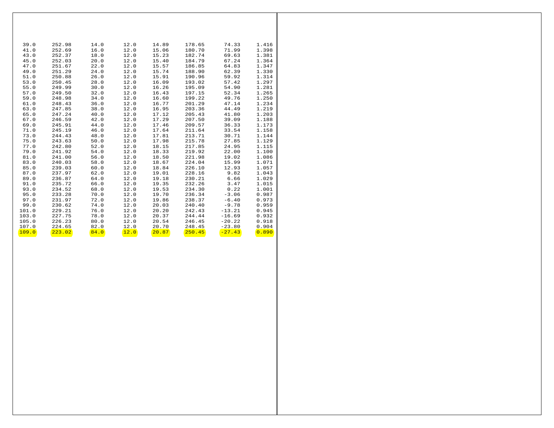|       | $\begin{array}{cccccccc} 39.0 & 252.98 & 14.0 & 12.0 & 14.89 & 178.65 & 74.33 \\ 41.0 & 252.69 & 16.0 & 12.0 & 15.06 & 180.70 & 71.99 \\ 43.0 & 252.37 & 18.0 & 12.0 & 15.23 & 182.74 & 69.63 \\ 45.0 & 252.03 & 20.0 & 12.0 & 15.40 & 184.79 & 67.24 \end{array}$                          |  |  | 74.33          | 1.416 |
|-------|---------------------------------------------------------------------------------------------------------------------------------------------------------------------------------------------------------------------------------------------------------------------------------------------|--|--|----------------|-------|
|       |                                                                                                                                                                                                                                                                                             |  |  |                | 1.398 |
|       |                                                                                                                                                                                                                                                                                             |  |  |                | 1.381 |
|       |                                                                                                                                                                                                                                                                                             |  |  |                | 1.364 |
| 47.0  | 251.67  22.0  12.0  15.57  186.85                                                                                                                                                                                                                                                           |  |  | 64.83          | 1.347 |
| 49.0  | 251.29 24.0 12.0 15.74 188.90 62.39                                                                                                                                                                                                                                                         |  |  |                | 1.330 |
| 51.0  | 250.88 26.0 12.0 15.91 190.96                                                                                                                                                                                                                                                               |  |  | 59.92          | 1.314 |
| 53.0  | 250.45 28.0 12.0 16.09 193.02 57.42                                                                                                                                                                                                                                                         |  |  |                | 1.297 |
| 55.0  | 249.99 30.0 12.0 16.26 195.09 54.90                                                                                                                                                                                                                                                         |  |  |                | 1.281 |
| 57.0  | 249.50 32.0 12.0 16.43 197.15 52.34                                                                                                                                                                                                                                                         |  |  |                | 1.265 |
| 59.0  | 248.98 34.0 12.0 16.60 199.22 49.76                                                                                                                                                                                                                                                         |  |  |                | 1.250 |
| 61.0  | 248.43 36.0 12.0 16.77 201.29 47.14                                                                                                                                                                                                                                                         |  |  |                | 1.234 |
|       |                                                                                                                                                                                                                                                                                             |  |  |                | 1.219 |
|       |                                                                                                                                                                                                                                                                                             |  |  |                | 1.203 |
|       |                                                                                                                                                                                                                                                                                             |  |  |                | 1.188 |
|       |                                                                                                                                                                                                                                                                                             |  |  |                | 1.173 |
|       | ${\footnotesize \begin{tabular}{cccccccc} 63.0 & 247.85 & 38.0 & 12.0 & 16.95 & 203.36 & 44.49 \\ 65.0 & 247.85 & 38.0 & 12.0 & 16.95 & 203.36 & 44.49 \\ 65.0 & 247.24 & 40.0 & 12.0 & 17.12 & 205.43 & 41.80 \\ 67.0 & 246.59 & 42.0 & 12.0 & 17.29 & 207.50 & 39.09 \\ 69.0 & 245.91 & $ |  |  |                | 1.158 |
|       |                                                                                                                                                                                                                                                                                             |  |  |                | 1.144 |
|       | 75.0 243.63 50.0 12.0 17.98 215.78 27.85                                                                                                                                                                                                                                                    |  |  |                | 1.129 |
|       | 77.0  242.80  52.0  12.0  18.15  217.85  24.95                                                                                                                                                                                                                                              |  |  |                | 1.115 |
| 79.0  | $241.92$ $54.0$ $12.0$ $18.33$ $219.92$ $22.00$                                                                                                                                                                                                                                             |  |  |                | 1.100 |
| 81.0  | 241.00 56.0 12.0 18.50 221.98 19.02                                                                                                                                                                                                                                                         |  |  |                | 1.086 |
| 83.0  | 240.03 58.0 12.0 18.67 224.04 15.99                                                                                                                                                                                                                                                         |  |  |                | 1.071 |
| 85.0  | 239.03 60.0 12.0 18.84 226.10 12.93                                                                                                                                                                                                                                                         |  |  |                | 1.057 |
| 87.0  | 237.97 62.0 12.0 19.01 228.16 9.82                                                                                                                                                                                                                                                          |  |  |                | 1.043 |
| 89.0  | 236.87 64.0 12.0 19.18 230.21 6.66                                                                                                                                                                                                                                                          |  |  |                | 1.029 |
| 91.0  |                                                                                                                                                                                                                                                                                             |  |  |                | 1.015 |
| 93.0  |                                                                                                                                                                                                                                                                                             |  |  |                | 1.001 |
| 95.0  |                                                                                                                                                                                                                                                                                             |  |  |                | 0.987 |
| 97.0  | 235.72 66.0 12.0 19.35 232.26 3.47<br>234.52 68.0 12.0 19.53 232.26 3.47<br>234.52 68.0 12.0 19.53 234.30 0.22<br>233.28 70.0 12.0 19.70 236.34 -3.06<br>231.97 72.0 12.0 19.86 238.37 -6.40                                                                                                |  |  |                | 0.973 |
| 99.0  | $230.62$ $74.0$ $12.0$ $20.03$ $240.40$ $-9.78$                                                                                                                                                                                                                                             |  |  |                | 0.959 |
| 101.0 | $229.21$ 76.0 12.0 20.20 242.43 -13.21                                                                                                                                                                                                                                                      |  |  |                | 0.945 |
|       | $103.0$ $227.75$ $78.0$ $12.0$ $20.37$ $244.44$ $-16.69$                                                                                                                                                                                                                                    |  |  |                | 0.932 |
|       | $105.0$ $226.23$ $80.0$ $12.0$ $20.54$ $246.45$ $-20.22$                                                                                                                                                                                                                                    |  |  |                | 0.918 |
| 107.0 | $224.65$ $82.0$ $12.0$ $20.70$ $248.45$ $-23.80$                                                                                                                                                                                                                                            |  |  |                | 0.904 |
| 109.0 |                                                                                                                                                                                                                                                                                             |  |  | $-27.43$ 0.890 |       |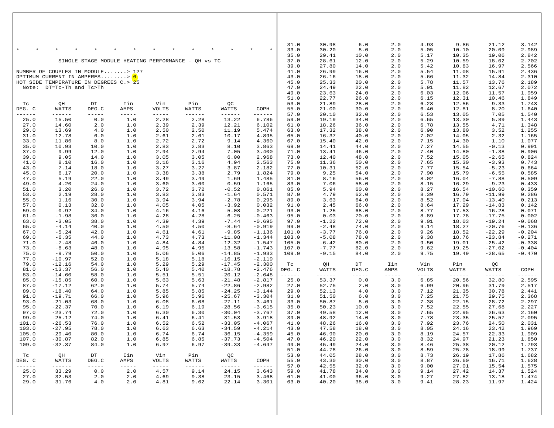|                                                                                                                          |                          |                      |                                         |                       |                                     |                                                                                                                                                                                                                                                                                                                                                                                                       |                        | 31.0                    | 30.98                | $6.0$                | 2.0                  | 4.93                    | 9.86                    | 21.12                   | 3.142                |
|--------------------------------------------------------------------------------------------------------------------------|--------------------------|----------------------|-----------------------------------------|-----------------------|-------------------------------------|-------------------------------------------------------------------------------------------------------------------------------------------------------------------------------------------------------------------------------------------------------------------------------------------------------------------------------------------------------------------------------------------------------|------------------------|-------------------------|----------------------|----------------------|----------------------|-------------------------|-------------------------|-------------------------|----------------------|
|                                                                                                                          |                          |                      |                                         |                       |                                     |                                                                                                                                                                                                                                                                                                                                                                                                       |                        | 33.0<br>35.0            | 30.20<br>29.41       | 8.0<br>10.0          | 2.0<br>2.0           | 5.05<br>5.17            | 10.10<br>10.35          | 20.09<br>19.06          | 2.989<br>2.842       |
|                                                                                                                          |                          |                      | SINGLE STAGE MODULE HEATING PERFORMANCE |                       | - QH vs TC                          |                                                                                                                                                                                                                                                                                                                                                                                                       |                        | 37.0<br>39.0            | 28.61<br>27.80       | 12.0<br>14.0         | 2.0<br>2.0           | 5.29<br>5.42            | 10.59<br>10.83          | 18.02<br>16.97          | 2.702<br>2.566       |
| NUMBER OF COUPLES IN MODULE> 127<br>OPTIMUM CURRENT IN AMPERES> <mark>6</mark><br>HOT SIDE TEMPERATURE IN DEGREES C.> 25 |                          |                      |                                         |                       |                                     |                                                                                                                                                                                                                                                                                                                                                                                                       | 41.0<br>43.0<br>45.0   | 26.99<br>26.16<br>25.33 | 16.0<br>18.0<br>20.0 | 2.0<br>2.0<br>2.0    | 5.54<br>5.66<br>5.78 | 11.08<br>11.32<br>11.57 | 15.91<br>14.84<br>13.76 | 2.436<br>2.310<br>2.189 |                      |
|                                                                                                                          | Note: DT=Tc-Th and Tc>Th |                      |                                         |                       |                                     |                                                                                                                                                                                                                                                                                                                                                                                                       |                        | 47.0<br>49.0            | 24.49<br>23.63       | 22.0<br>24.0         | 2.0<br>2.0           | 5.91<br>6.03            | 11.82<br>12.06          | 12.67<br>11.57          | 2.072<br>1.959       |
| $\operatorname{\mathsf{TC}}$                                                                                             | QH                       | $_{\rm DT}$          | Iin                                     | Vin                   | Pin                                 | QС                                                                                                                                                                                                                                                                                                                                                                                                    |                        | 51.0<br>53.0            | 22.77<br>21.89       | 26.0<br>28.0         | 2.0<br>2.0           | 6.15<br>6.28            | 12.31<br>12.56          | 10.46<br>9.33           | 1.849<br>1.743       |
| DEG. C                                                                                                                   | WATTS                    | DEG.C                | AMPS                                    | <b>VOLTS</b>          | WATTS                               | WATTS                                                                                                                                                                                                                                                                                                                                                                                                 | COPH                   | 55.0                    | 21.00                | 30.0                 | 2.0                  | 6.40                    | 12.81                   | 8.20                    | 1.640                |
| ------<br>25.0                                                                                                           | $------$<br>15.50        | $- - - - - -$<br>0.0 | $- - - - - -$<br>1.0                    | $- - - - - -$<br>2.28 | $- - - - - - -$<br>2.28             | ------<br>13.22                                                                                                                                                                                                                                                                                                                                                                                       | $- - - - - -$<br>6.786 | 57.0<br>59.0            | 20.10<br>19.19       | 32.0<br>34.0         | 2.0<br>2.0           | 6.53<br>6.65            | 13.05<br>13.30          | 7.05<br>5.89            | 1.540<br>1.443       |
| 27.0<br>29.0                                                                                                             | 14.60<br>13.69           | 2.0<br>4.0           | 1.0<br>1.0                              | 2.39<br>2.50          | 2.39<br>2.50                        | 12.21<br>11.19                                                                                                                                                                                                                                                                                                                                                                                        | 6.102<br>5.474         | 61.0<br>63.0            | 18.26<br>17.32       | 36.0<br>38.0         | 2.0<br>2.0           | 6.78<br>6.90            | 13.55<br>13.80          | 4.71<br>3.52            | 1.348<br>1.255       |
| 31.0                                                                                                                     | 12.78                    | 6.0                  | 1.0                                     | 2.61                  | 2.61                                | 10.17                                                                                                                                                                                                                                                                                                                                                                                                 | 4.895                  | 65.0                    | 16.37                | 40.0                 | 2.0                  | 7.02                    | 14.05                   | 2.32                    | 1.165                |
| 33.0<br>35.0                                                                                                             | 11.86<br>10.93           | 8.0<br>10.0          | 1.0<br>1.0                              | 2.72<br>2.83          | 2.72<br>2.83                        | 9.14<br>8.10                                                                                                                                                                                                                                                                                                                                                                                          | 4.360<br>3.863         | 67.0<br>69.0            | 15.40<br>14.41       | 42.0<br>44.0         | 2.0<br>2.0           | 7.15<br>7.27            | 14.30<br>14.55          | 1.10<br>$-0.13$         | 1.077<br>0.991       |
| 37.0<br>39.0                                                                                                             | 9.99<br>9.05             | 12.0<br>14.0         | 1.0<br>1.0                              | 2.94<br>3.05          | 2.94<br>3.05                        | 7.05<br>6.00                                                                                                                                                                                                                                                                                                                                                                                          | 3.400<br>2.968         | 71.0<br>73.0            | 13.41<br>12.40       | 46.0<br>48.0         | 2.0<br>2.0           | 7.40<br>7.52            | 14.80<br>15.05          | $-1.38$<br>$-2.65$      | 0.906<br>0.824       |
| 41.0                                                                                                                     | 8.10                     | 16.0                 | 1.0                                     | 3.16                  | 3.16                                | 4.94                                                                                                                                                                                                                                                                                                                                                                                                  | 2.563                  | 75.0                    | 11.36                | 50.0                 | 2.0                  | 7.65                    | 15.30                   | $-3.93$                 | 0.743                |
| 43.0<br>45.0                                                                                                             | 7.14<br>6.17             | 18.0<br>20.0         | 1.0<br>1.0                              | 3.27<br>3.38          | 3.27<br>3.38                        | 3.87<br>2.79                                                                                                                                                                                                                                                                                                                                                                                          | 2.182<br>1.824         | 77.0<br>79.0            | 10.31<br>9.25        | 52.0<br>54.0         | 2.0<br>2.0           | 7.77<br>7.90            | 15.54<br>15.79          | $-5.23$<br>$-6.55$      | 0.664<br>0.585       |
| 47.0                                                                                                                     | 5.19                     | 22.0                 | 1.0                                     | 3.49                  | 3.49                                | 1.69                                                                                                                                                                                                                                                                                                                                                                                                  | 1.485                  | 81.0                    | 8.16<br>7.06         | 56.0                 | 2.0                  | 8.02                    | 16.04<br>16.29          | $-7.88$                 | 0.509                |
| 49.0<br>51.0                                                                                                             | 4.20<br>3.20             | 24.0<br>26.0         | 1.0<br>1.0                              | 3.60<br>3.72          | 3.60<br>3.72                        | 0.59<br>$-0.52$                                                                                                                                                                                                                                                                                                                                                                                       | 1.165<br>0.861         | 83.0<br>85.0            | 5.94                 | 58.0<br>60.0         | 2.0<br>2.0           | 8.15<br>8.27            | 16.54                   | $-9.23$<br>$-10.60$     | 0.433<br>0.359       |
| 53.0<br>55.0                                                                                                             | 2.19<br>1.16             | 28.0<br>30.0         | 1.0<br>1.0                              | 3.83<br>3.94          | 3.83<br>3.94                        | $-1.64$<br>$-2.78$                                                                                                                                                                                                                                                                                                                                                                                    | 0.571<br>0.295         | 87.0<br>89.0            | 4.79<br>3.63         | 62.0<br>64.0         | 2.0<br>2.0           | 8.39<br>8.52            | 16.79<br>17.04          | $-11.99$<br>$-13.40$    | 0.286<br>0.213       |
| 57.0                                                                                                                     | 0.13                     | 32.0                 | 1.0                                     | 4.05                  | 4.05                                | $-3.92$                                                                                                                                                                                                                                                                                                                                                                                               | 0.032                  | 91.0                    | 2.45                 | 66.0                 | 2.0                  | 8.64                    | 17.29                   | $-14.83$                | 0.142                |
| 59.0<br>61.0                                                                                                             | $-0.92$<br>$-1.98$       | 34.0<br>36.0         | 1.0<br>1.0                              | 4.16<br>4.28          | 4.16<br>4.28                        | $-5.08$<br>$-6.25$                                                                                                                                                                                                                                                                                                                                                                                    | $-0.221$<br>$-0.463$   | 93.0<br>95.0            | 1.25<br>0.03         | 68.0<br>70.0         | 2.0<br>2.0           | 8.77<br>8.89            | 17.53<br>17.78          | $-16.28$<br>$-17.75$    | 0.071<br>0.002       |
| 63.0<br>65.0                                                                                                             | $-3.05$<br>$-4.14$       | 38.0<br>40.0         | 1.0<br>1.0                              | 4.39<br>4.50          | 4.39<br>4.50                        | $-7.44$<br>$-8.64$                                                                                                                                                                                                                                                                                                                                                                                    | $-0.695$<br>$-0.919$   | 97.0<br>99.0            | $-1.22$<br>$-2.48$   | 72.0<br>74.0         | 2.0<br>2.0           | 9.01<br>9.14            | 18.03<br>18.27          | $-19.24$<br>$-20.76$    | $-0.068$<br>$-0.136$ |
| 67.0                                                                                                                     | $-5.24$                  | 42.0                 | 1.0                                     | 4.61                  | 4.61                                | $-9.85$                                                                                                                                                                                                                                                                                                                                                                                               | $-1.136$               | 101.0                   | $-3.77$              | 76.0                 | 2.0                  | 9.26                    | 18.52                   | $-22.29$                | $-0.204$             |
| 69.0<br>71.0                                                                                                             | $-6.35$<br>$-7.48$       | 44.0<br>46.0         | 1.0<br>1.0                              | 4.73<br>4.84          | 4.73<br>4.84                        | $-11.08$<br>$-12.32$                                                                                                                                                                                                                                                                                                                                                                                  | $-1.344$<br>$-1.547$   | 103.0<br>105.0          | $-5.08$<br>$-6.42$   | 78.0<br>80.0         | 2.0<br>2.0           | 9.38<br>9.50            | 18.76<br>19.01          | $-23.84$<br>$-25.42$    | $-0.271$<br>$-0.338$ |
| 73.0                                                                                                                     | $-8.63$                  | 48.0                 | 1.0                                     | 4.95                  | 4.95                                | $-13.58$                                                                                                                                                                                                                                                                                                                                                                                              | $-1.743$               | 107.0                   | $-7.77$              | 82.0                 | 2.0                  | 9.62                    | 19.25                   | $-27.02$                | $-0.404$             |
| 75.0<br>77.0                                                                                                             | $-9.79$<br>$-10.97$      | 50.0<br>52.0         | 1.0<br>1.0                              | 5.06<br>5.18          | 5.06<br>5.18                        | $-14.85$<br>$-16.15$                                                                                                                                                                                                                                                                                                                                                                                  | $-1.933$<br>$-2.119$   | 109.0                   | $-9.15$              | 84.0                 | 2.0                  | 9.75                    | 19.49                   | $-28.65$                | $-0.470$             |
| 79.0<br>81.0                                                                                                             | $-12.16$<br>$-13.37$     | 54.0<br>56.0         | 1.0<br>1.0                              | 5.29<br>5.40          | 5.29<br>5.40                        | $-17.45$<br>$-18.78$                                                                                                                                                                                                                                                                                                                                                                                  | $-2.300$<br>$-2.476$   | Tc<br>DEG. C            | QH<br>WATTS          | $_{\rm DT}$<br>DEG.C | Iin<br>AMPS          | Vin<br><b>VOLTS</b>     | Pin<br>WATTS            | QC<br>WATTS             | COPH                 |
| 83.0                                                                                                                     | $-14.60$                 | 58.0                 | 1.0                                     | 5.51                  | 5.51                                | $-20.12$                                                                                                                                                                                                                                                                                                                                                                                              | $-2.648$               | $- - - - - - -$         | ------               | $- - - - - -$        |                      | $- - - - -$             | $- - - - - - -$         | $- - - - - -$           | ------               |
| 85.0<br>87.0                                                                                                             | $-15.85$<br>$-17.12$     | 60.0<br>62.0         | 1.0<br>1.0                              | 5.63<br>5.74          | 5.63<br>5.74                        | $-21.48$<br>$-22.86$                                                                                                                                                                                                                                                                                                                                                                                  | $-2.817$<br>$-2.982$   | 25.0<br>27.0            | 53.37<br>52.75       | $0.0$<br>2.0         | 3.0<br>3.0           | 6.85<br>6.99            | 20.56<br>20.96          | 32.80<br>31.79          | 2.595<br>2.517       |
| 89.0                                                                                                                     | $-18.40$<br>$-19.71$     | 64.0                 | 1.0<br>1.0                              | 5.85<br>5.96          | 5.85                                | $-24.25$<br>$-25.67$                                                                                                                                                                                                                                                                                                                                                                                  | $-3.144$<br>$-3.304$   | 29.0                    | 52.13                | 4.0                  | 3.0                  | 7.12                    | 21.35<br>21.75          | 30.78                   | 2.441                |
| 91.0<br>93.0                                                                                                             | $-21.03$                 | 66.0<br>68.0         | 1.0                                     | 6.08                  | 5.96<br>6.08                        | $-27.11$                                                                                                                                                                                                                                                                                                                                                                                              | $-3.461$               | 31.0<br>33.0            | 51.50<br>50.87       | 6.0<br>8.0           | 3.0<br>3.0           | 7.25<br>7.38            | 22.15                   | 29.75<br>28.72          | 2.368<br>2.297       |
| 95.0<br>97.0                                                                                                             | $-22.37$<br>$-23.74$     | 70.0<br>72.0         | 1.0<br>1.0                              | 6.19<br>6.30          | 6.19<br>6.30                        | $-28.56$<br>$-30.04$                                                                                                                                                                                                                                                                                                                                                                                  | $-3.615$<br>$-3.767$   | 35.0<br>37.0            | 50.23<br>49.58       | 10.0<br>12.0         | 3.0<br>3.0           | 7.52<br>7.65            | 22.55<br>22.95          | 27.68<br>26.63          | 2.227<br>2.160       |
| 99.0                                                                                                                     | $-25.12$                 | 74.0                 | 1.0                                     | 6.41                  | 6.41                                | $-31.53$                                                                                                                                                                                                                                                                                                                                                                                              | $-3.918$               | 39.0                    | 48.92                | 14.0                 | 3.0                  | 7.78                    | 23.35                   | 25.57                   | 2.095                |
| 101.0<br>103.0                                                                                                           | $-26.53$<br>$-27.95$     | 76.0<br>78.0         | 1.0<br>1.0                              | 6.52<br>6.63          | 6.52<br>6.63                        | $-33.05$<br>$-34.59$                                                                                                                                                                                                                                                                                                                                                                                  | $-4.067$<br>$-4.214$   | 41.0<br>43.0            | 48.26<br>47.58       | 16.0<br>18.0         | 3.0<br>3.0           | 7.92<br>8.05            | 23.76<br>24.16          | 24.50<br>23.42          | 2.031<br>1.969       |
| 105.0<br>107.0                                                                                                           | $-29.40$<br>$-30.87$     | 80.0<br>82.0         | 1.0<br>1.0                              | 6.74<br>6.85          | 6.74<br>6.85                        | $-36.15$<br>$-37.73$                                                                                                                                                                                                                                                                                                                                                                                  | $-4.359$<br>$-4.504$   | 45.0<br>47.0            | 46.90<br>46.20       | 20.0<br>22.0         | 3.0<br>3.0           | 8.19<br>8.32            | 24.57<br>24.97          | 22.33<br>21.23          | 1.909<br>1.850       |
| 109.0                                                                                                                    | $-32.37$                 | 84.0                 | 1.0                                     | 6.97                  | 6.97                                | $-39.33$                                                                                                                                                                                                                                                                                                                                                                                              | $-4.647$               | 49.0                    | 45.49                | 24.0                 | 3.0                  | 8.46                    | 25.38                   | 20.12                   | 1.793                |
| Tc                                                                                                                       | QH                       | DT                   | Iin                                     | Vin                   | Pin                                 | QC                                                                                                                                                                                                                                                                                                                                                                                                    |                        | 51.0<br>53.0            | 44.78<br>44.05       | 26.0<br>28.0         | 3.0<br>3.0           | 8.59<br>8.73            | 25.78<br>26.19          | 18.99<br>17.86          | 1.737<br>1.682       |
| DEG. C                                                                                                                   | WATTS<br>------          | DEG.C                | AMPS                                    | <b>VOLTS</b>          | WATTS<br>$\cdots\cdots\cdots\cdots$ | WATTS<br>$\frac{1}{2} \frac{1}{2} \frac{1}{2} \frac{1}{2} \frac{1}{2} \frac{1}{2} \frac{1}{2} \frac{1}{2} \frac{1}{2} \frac{1}{2} \frac{1}{2} \frac{1}{2} \frac{1}{2} \frac{1}{2} \frac{1}{2} \frac{1}{2} \frac{1}{2} \frac{1}{2} \frac{1}{2} \frac{1}{2} \frac{1}{2} \frac{1}{2} \frac{1}{2} \frac{1}{2} \frac{1}{2} \frac{1}{2} \frac{1}{2} \frac{1}{2} \frac{1}{2} \frac{1}{2} \frac{1}{2} \frac{$ | COPH                   | 55.0                    | 43.30                | 30.0                 | 3.0                  | 8.87                    | 26.60                   | 16.71                   | 1.628                |
| ------<br>25.0                                                                                                           | 33.29                    | $- - - - - -$<br>0.0 | $- - - - - -$<br>2.0                    | $- - - - - -$<br>4.57 | 9.14                                | 24.15                                                                                                                                                                                                                                                                                                                                                                                                 | 3.643                  | 57.0<br>59.0            | 42.55<br>41.78       | 32.0<br>34.0         | 3.0<br>3.0           | 9.00<br>9.14            | 27.01<br>27.42          | 15.54<br>14.37          | 1.575<br>1.524       |
| 27.0<br>29.0                                                                                                             | 32.53<br>31.76           | 2.0<br>4.0           | 2.0<br>2.0                              | 4.69<br>4.81          | 9.38<br>9.62                        | 23.15<br>22.14                                                                                                                                                                                                                                                                                                                                                                                        | 3.468<br>3.301         | 61.0<br>63.0            | 41.00<br>40.20       | 36.0<br>38.0         | 3.0<br>3.0           | 9.27<br>9.41            | 27.82<br>28.23          | 13.18<br>11.97          | 1.474<br>1.424       |
|                                                                                                                          |                          |                      |                                         |                       |                                     |                                                                                                                                                                                                                                                                                                                                                                                                       |                        |                         |                      |                      |                      |                         |                         |                         |                      |
|                                                                                                                          |                          |                      |                                         |                       |                                     |                                                                                                                                                                                                                                                                                                                                                                                                       |                        |                         |                      |                      |                      |                         |                         |                         |                      |
|                                                                                                                          |                          |                      |                                         |                       |                                     |                                                                                                                                                                                                                                                                                                                                                                                                       |                        |                         |                      |                      |                      |                         |                         |                         |                      |
|                                                                                                                          |                          |                      |                                         |                       |                                     |                                                                                                                                                                                                                                                                                                                                                                                                       |                        |                         |                      |                      |                      |                         |                         |                         |                      |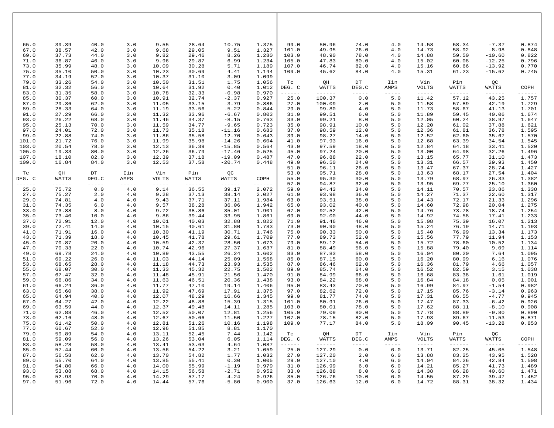| 65.0<br>39.39<br>40.0<br>3.0<br>9.55<br>28.64<br>99.0<br>50.96<br>14.58<br>10.75<br>1.375<br>74.0<br>4.0<br>38.57<br>42.0<br>3.0<br>9.68<br>29.05<br>9.51<br>1.327<br>101.0<br>49.95<br>76.0<br>67.0<br>4.0<br>14.73<br>9.82<br>29.46<br>8.26<br>1.280<br>103.0<br>78.0<br>69.0<br>37.73<br>44.0<br>3.0<br>48.90<br>4.0<br>14.88<br>29.87<br>1.234<br>71.0<br>36.87<br>46.0<br>3.0<br>9.96<br>6.99<br>105.0<br>47.83<br>80.0<br>4.0<br>15.02<br>35.99<br>10.09<br>30.28<br>5.71<br>1.189<br>107.0<br>82.0<br>15.16<br>73.0<br>48.0<br>3.0<br>46.74<br>4.0<br>75.0<br>35.10<br>50.0<br>10.23<br>30.69<br>4.41<br>1.144<br>15.31<br>3.0<br>109.0<br>45.62<br>84.0<br>4.0 | 58.34<br>58.92<br>59.50<br>60.08<br>60.66<br>61.23<br>Pin<br>WATTS | $-7.37$<br>0.874<br>0.848<br>$-8.98$<br>0.822<br>$-10.60$<br>0.796<br>$-12.25$<br>$-13.92$<br>0.770<br>0.745<br>-15.62<br>QC |
|------------------------------------------------------------------------------------------------------------------------------------------------------------------------------------------------------------------------------------------------------------------------------------------------------------------------------------------------------------------------------------------------------------------------------------------------------------------------------------------------------------------------------------------------------------------------------------------------------------------------------------------------------------------------|--------------------------------------------------------------------|------------------------------------------------------------------------------------------------------------------------------|
|                                                                                                                                                                                                                                                                                                                                                                                                                                                                                                                                                                                                                                                                        |                                                                    |                                                                                                                              |
|                                                                                                                                                                                                                                                                                                                                                                                                                                                                                                                                                                                                                                                                        |                                                                    |                                                                                                                              |
|                                                                                                                                                                                                                                                                                                                                                                                                                                                                                                                                                                                                                                                                        |                                                                    |                                                                                                                              |
|                                                                                                                                                                                                                                                                                                                                                                                                                                                                                                                                                                                                                                                                        |                                                                    |                                                                                                                              |
|                                                                                                                                                                                                                                                                                                                                                                                                                                                                                                                                                                                                                                                                        |                                                                    |                                                                                                                              |
| 77.0<br>3.0<br>31.10<br>3.09<br>1.099<br>34.19<br>52.0<br>10.37                                                                                                                                                                                                                                                                                                                                                                                                                                                                                                                                                                                                        |                                                                    |                                                                                                                              |
| 79.0<br>33.26<br>54.0<br>3.0<br>10.50<br>31.51<br>1.75<br>1.056<br>$_{\rm DT}$<br>Tc<br>QH<br>Iin<br>Vin<br>32.32<br>3.0<br>10.64<br>31.92<br>0.40<br>1.012<br>DEG. C<br>WATTS<br>DEG.C<br>81.0<br>56.0<br>AMPS<br><b>VOLTS</b>                                                                                                                                                                                                                                                                                                                                                                                                                                        |                                                                    | COPH<br>WATTS                                                                                                                |
| 83.0<br>$-0.98$<br>0.970<br>31.35<br>58.0<br>3.0<br>10.78<br>32.33<br>------<br>------<br>$- - - - -$<br>$- - - - - -$<br>$- - - - - -$                                                                                                                                                                                                                                                                                                                                                                                                                                                                                                                                | ------                                                             | ------<br>------                                                                                                             |
| 0.0<br>$5.0$<br>85.0<br>30.37<br>3.0<br>32.74<br>$-2.37$<br>0.927<br>25.0<br>100.37<br>11.42<br>60.0<br>10.91<br>$-3.79$<br>0.886<br>27.0<br>2.0<br>$5.0$<br>87.0<br>29.36<br>62.0<br>3.0<br>11.05<br>33.15<br>100.09<br>11.58                                                                                                                                                                                                                                                                                                                                                                                                                                         | 57.12<br>57.89                                                     | 1.757<br>43.25<br>1.729<br>42.19                                                                                             |
| 28.33<br>11.19<br>$-5.22$<br>0.844<br>89.0<br>64.0<br>3.0<br>33.56<br>29.0<br>99.80<br>4.0<br>5.0<br>11.73                                                                                                                                                                                                                                                                                                                                                                                                                                                                                                                                                             | 58.67                                                              | 41.13<br>1.701                                                                                                               |
| 5.0<br>91.0<br>27.29<br>66.0<br>3.0<br>11.32<br>33.96<br>$-6.67$<br>0.803<br>31.0<br>99.51<br>6.0<br>11.89<br>93.0<br>26.22<br>68.0<br>3.0<br>11.46<br>34.37<br>$-8.15$<br>0.763<br>33.0<br>99.21<br>8.0<br>5.0<br>12.05                                                                                                                                                                                                                                                                                                                                                                                                                                               | 59.45<br>60.24                                                     | 1.674<br>40.06<br>1.647<br>38.97                                                                                             |
| 95.0<br>25.13<br>11.59<br>34.77<br>$-9.65$<br>0.723<br>12.20<br>70.0<br>3.0<br>35.0<br>98.91<br>10.0<br>5.0                                                                                                                                                                                                                                                                                                                                                                                                                                                                                                                                                            | 61.02                                                              | 1.621<br>37.88                                                                                                               |
| 97.0<br>24.01<br>72.0<br>3.0<br>35.18<br>$-11.16$<br>0.683<br>37.0<br>12.0<br>12.36<br>11.73<br>98.59<br>5.0<br>99.0<br>22.88<br>74.0<br>3.0<br>35.58<br>$-12.70$<br>14.0<br>5.0<br>12.52<br>11.86<br>0.643<br>39.0<br>98.27                                                                                                                                                                                                                                                                                                                                                                                                                                           | 61.81<br>62.60                                                     | 1.595<br>36.78<br>1.570<br>35.67                                                                                             |
| 101.0<br>21.72<br>11.99<br>35.98<br>$-14.26$<br>0.604<br>76.0<br>3.0<br>41.0<br>97.93<br>16.0<br>5.0<br>12.68                                                                                                                                                                                                                                                                                                                                                                                                                                                                                                                                                          | 63.39                                                              | 1.545<br>34.54                                                                                                               |
| 103.0<br>20.54<br>3.0<br>12.13<br>$-15.85$<br>0.564<br>97.59<br>18.0<br>5.0<br>78.0<br>36.39<br>43.0<br>12.84<br>105.0<br>19.33<br>80.0<br>3.0<br>12.26<br>36.79<br>$-17.46$<br>0.525<br>45.0<br>97.24<br>20.0<br>5.0<br>13.00                                                                                                                                                                                                                                                                                                                                                                                                                                         | 64.18<br>64.98                                                     | 1.520<br>33.41<br>1.496<br>32.26                                                                                             |
| 18.10<br>3.0<br>12.39<br>37.18<br>$-19.09$<br>22.0<br>5.0<br>107.0<br>82.0<br>0.487<br>47.0<br>96.88<br>13.15                                                                                                                                                                                                                                                                                                                                                                                                                                                                                                                                                          | 65.77                                                              | 1.473<br>31.10<br>1.450                                                                                                      |
| 109.0<br>16.84<br>84.0<br>3.0<br>12.53<br>37.58<br>$-20.74$<br>0.448<br>49.0<br>96.50<br>24.0<br>5.0<br>13.31<br>26.0<br>13.47<br>51.0<br>96.11<br>5.0                                                                                                                                                                                                                                                                                                                                                                                                                                                                                                                 | 66.57<br>67.37                                                     | 29.93<br>28.74<br>1.427                                                                                                      |
| QH<br>$_{\rm DT}$<br>Vin<br>QC<br>95.71<br>28.0<br>5.0<br>13.63<br>Tc<br>Iin<br>Pin<br>53.0<br>DEG. C<br>55.0<br>95.30<br>30.0<br>5.0<br>13.79                                                                                                                                                                                                                                                                                                                                                                                                                                                                                                                         | 68.17<br>68.97                                                     | 27.54<br>1.404<br>1.382<br>26.33                                                                                             |
| WATTS<br>DEG.C<br>AMPS<br>VOLTS<br>WATTS<br>WATTS<br>COPH<br>57.0<br>32.0<br>5.0<br>13.95<br>$- - - - - - -$<br>94.87<br>------<br>$- - - - - -$<br>$- - - - - -$<br>$- - - - - -$<br>------<br>$- - - - - - -$<br>------                                                                                                                                                                                                                                                                                                                                                                                                                                              | 69.77                                                              | 1.360<br>25.10                                                                                                               |
| $0.0$<br>2.072<br>25.0<br>75.72<br>4.0<br>9.14<br>36.55<br>39.17<br>59.0<br>94.43<br>34.0<br>5.0<br>14.11<br>2.0<br>27.0<br>75.27<br>4.0<br>9.28<br>37.13<br>38.14<br>2.027<br>93.98<br>36.0<br>5.0<br>14.27<br>61.0                                                                                                                                                                                                                                                                                                                                                                                                                                                   | 70.57<br>71.37                                                     | 1.338<br>23.86<br>1.317<br>22.60                                                                                             |
| 1.984<br>29.0<br>74.81<br>4.0<br>4.0<br>9.43<br>37.71<br>37.11<br>63.0<br>93.51<br>38.0<br>5.0<br>14.43                                                                                                                                                                                                                                                                                                                                                                                                                                                                                                                                                                | 72.17                                                              | 1.296<br>21.33                                                                                                               |
| 74.35<br>38.28<br>36.06<br>1.942<br>31.0<br>6.0<br>4.0<br>9.57<br>65.0<br>93.02<br>40.0<br>5.0<br>14.60<br>9.72<br>35.01<br>1.901<br>33.0<br>73.88<br>8.0<br>4.0<br>38.86<br>67.0<br>92.52<br>42.0<br>5.0<br>14.76                                                                                                                                                                                                                                                                                                                                                                                                                                                     | 72.98<br>73.78                                                     | 1.275<br>20.04<br>1.254<br>18.74                                                                                             |
| 35.0<br>73.40<br>10.0<br>9.86<br>39.44<br>33.95<br>1.861<br>69.0<br>92.00<br>44.0<br>5.0<br>14.92<br>4.0                                                                                                                                                                                                                                                                                                                                                                                                                                                                                                                                                               | 74.58                                                              | 17.41<br>1.233                                                                                                               |
| 37.0<br>12.0<br>40.03<br>1.822<br>46.0<br>5.0<br>15.08<br>72.91<br>4.0<br>10.01<br>32.88<br>71.0<br>91.46<br>39.0<br>72.41<br>40.61<br>31.80<br>15.24<br>14.0<br>4.0<br>10.15<br>1.783<br>73.0<br>90.90<br>48.0<br>5.0                                                                                                                                                                                                                                                                                                                                                                                                                                                 | 75.39<br>76.19                                                     | 16.07<br>1.213<br>14.71<br>1.193                                                                                             |
| 41.0<br>71.91<br>16.0<br>4.0<br>10.30<br>41.19<br>30.71<br>1.746<br>75.0<br>90.33<br>50.0<br>5.0<br>15.40                                                                                                                                                                                                                                                                                                                                                                                                                                                                                                                                                              | 76.99                                                              | 1.173<br>13.34                                                                                                               |
| 71.39<br>41.78<br>29.61<br>1.709<br>77.0<br>52.0<br>15.56<br>43.0<br>18.0<br>4.0<br>10.45<br>89.73<br>5.0<br>45.0<br>70.87<br>42.37<br>28.50<br>1.673<br>79.0<br>54.0<br>5.0<br>15.72<br>20.0<br>4.0<br>10.59<br>89.12                                                                                                                                                                                                                                                                                                                                                                                                                                                 | 77.79<br>78.60                                                     | 11.94<br>1.153<br>1.134<br>10.52                                                                                             |
| 47.0<br>42.96<br>56.0<br>70.33<br>22.0<br>4.0<br>10.74<br>27.37<br>1.637<br>81.0<br>88.49<br>5.0<br>15.88                                                                                                                                                                                                                                                                                                                                                                                                                                                                                                                                                              | 79.40                                                              | 9.09<br>1.114                                                                                                                |
| 49.0<br>69.78<br>43.55<br>26.24<br>1.602<br>58.0<br>5.0<br>24.0<br>4.0<br>10.89<br>83.0<br>87.83<br>16.04<br>44.14<br>1.568<br>51.0<br>69.22<br>26.0<br>4.0<br>11.03<br>25.09<br>85.0<br>87.15<br>60.0<br>5.0<br>16.20                                                                                                                                                                                                                                                                                                                                                                                                                                                 | 80.20<br>80.99                                                     | 1.095<br>7.64<br>1.076<br>6.16                                                                                               |
| 53.0<br>68.65<br>28.0<br>4.0<br>11.18<br>44.73<br>23.93<br>1.535<br>87.0<br>86.46<br>62.0<br>5.0<br>16.36                                                                                                                                                                                                                                                                                                                                                                                                                                                                                                                                                              | 81.79                                                              | 1.057<br>4.66                                                                                                                |
| 55.0<br>68.07<br>30.0<br>11.33<br>45.32<br>22.75<br>1.502<br>85.74<br>64.0<br>5.0<br>16.52<br>4.0<br>89.0<br>57.0<br>67.47<br>32.0<br>11.48<br>45.91<br>21.56<br>1.470<br>66.0<br>5.0<br>16.68<br>4.0<br>91.0<br>84.99                                                                                                                                                                                                                                                                                                                                                                                                                                                 | 82.59<br>83.38                                                     | 3.15<br>1.038<br>1.61<br>1.019                                                                                               |
| 59.0<br>66.86<br>1.438<br>84.22<br>68.0<br>5.0<br>34.0<br>4.0<br>11.63<br>46.51<br>20.36<br>93.0<br>16.84                                                                                                                                                                                                                                                                                                                                                                                                                                                                                                                                                              | 84.18                                                              | 0.05<br>1.001                                                                                                                |
| 66.24<br>70.0<br>16.99<br>61.0<br>36.0<br>4.0<br>11.77<br>47.10<br>19.14<br>1.406<br>95.0<br>83.43<br>5.0<br>63.0<br>65.60<br>4.0<br>11.92<br>47.69<br>17.91<br>1.375<br>97.0<br>82.62<br>72.0<br>5.0<br>17.15<br>38.0                                                                                                                                                                                                                                                                                                                                                                                                                                                 | 84.97<br>85.76                                                     | 0.982<br>$-1.54$<br>0.963<br>$-3.14$                                                                                         |
| 48.29<br>1.345<br>65.0<br>64.94<br>40.0<br>4.0<br>12.07<br>16.66<br>99.0<br>81.77<br>74.0<br>5.0<br>17.31                                                                                                                                                                                                                                                                                                                                                                                                                                                                                                                                                              | 86.55                                                              | $-4.77$<br>0.945                                                                                                             |
| 1.315<br>76.0<br>17.47<br>67.0<br>64.27<br>42.0<br>4.0<br>12.22<br>48.88<br>15.39<br>101.0<br>80.91<br>5.0<br>1.285<br>$5.0$<br>69.0<br>63.59<br>44.0<br>4.0<br>12.37<br>49.48<br>14.11<br>103.0<br>80.01<br>78.0<br>17.62                                                                                                                                                                                                                                                                                                                                                                                                                                             | 87.33<br>88.11                                                     | 0.926<br>$-6.42$<br>$-8.10$<br>0.908                                                                                         |
| 50.07<br>1.256<br>71.0<br>62.88<br>46.0<br>4.0<br>12.52<br>12.81<br>105.0<br>79.09<br>80.0<br>5.0<br>17.78                                                                                                                                                                                                                                                                                                                                                                                                                                                                                                                                                             | 88.89                                                              | 0.890<br>$-9.80$                                                                                                             |
| 73.0<br>12.67<br>50.66<br>11.50<br>1.227<br>107.0<br>78.15<br>5.0<br>17.93<br>62.16<br>48.0<br>4.0<br>82.0<br>1.198<br>109.0<br>18.09<br>75.0<br>61.42<br>50.0<br>4.0<br>12.81<br>51.26<br>10.16<br>77.17<br>84.0<br>5.0                                                                                                                                                                                                                                                                                                                                                                                                                                               | 89.67<br>90.45                                                     | 0.871<br>-11.53<br>0.853<br>$-13.28$                                                                                         |
| 77.0<br>60.67<br>52.0<br>4.0<br>12.96<br>51.85<br>8.81<br>1.170                                                                                                                                                                                                                                                                                                                                                                                                                                                                                                                                                                                                        |                                                                    |                                                                                                                              |
| 79.0<br>59.89<br>13.11<br>52.45<br>7.44<br>1.142<br>54.0<br>4.0<br>Tc<br>QH<br>DT<br>Iin<br>Vin<br>81.0<br>59.09<br>13.26<br>6.05<br>1.114<br>DEG. C<br>WATTS<br>DEG.C<br>56.0<br>4.0<br>53.04<br>AMPS<br>VOLTS                                                                                                                                                                                                                                                                                                                                                                                                                                                        | Pin<br>WATTS                                                       | QC<br>COPH<br>WATTS                                                                                                          |
| 1.087<br>83.0<br>58.28<br>58.0<br>4.0<br>13.41<br>53.63<br>4.64<br>$\cdots\cdots\cdots\cdots$<br>$- - - - - - -$<br>$- - - - - -$<br>$\cdots\cdots\cdots\cdots$<br>$- - - - - -$                                                                                                                                                                                                                                                                                                                                                                                                                                                                                       | $- - - - - -$                                                      | ------<br>$------$                                                                                                           |
| 85.0<br>25.0<br>127.29<br>0.0<br>$6.0$<br>13.71<br>57.44<br>60.0<br>4.0<br>13.56<br>54.22<br>3.21<br>1.059<br>1.77<br>1.032<br>87.0<br>56.58<br>62.0<br>4.0<br>13.70<br>54.82<br>27.0<br>127.20<br>2.0<br>6.0<br>13.88                                                                                                                                                                                                                                                                                                                                                                                                                                                 | 82.25<br>83.25                                                     | 45.05<br>1.548<br>1.528<br>43.95                                                                                             |
| 89.0<br>55.70<br>64.0<br>4.0<br>13.85<br>55.41<br>0.30<br>1.005<br>29.0<br>127.10<br>4.0<br>6.0<br>14.04                                                                                                                                                                                                                                                                                                                                                                                                                                                                                                                                                               | 84.26                                                              | 1.508<br>42.84                                                                                                               |
| 91.0<br>54.80<br>14.00<br>55.99<br>$-1.19$<br>0.979<br>126.99<br>14.21<br>66.0<br>4.0<br>31.0<br>6.0<br>6.0<br>93.0<br>$-2.71$<br>0.952<br>126.88<br>14.38<br>53.88<br>68.0<br>4.0<br>14.15<br>56.58<br>33.0<br>8.0<br>6.0                                                                                                                                                                                                                                                                                                                                                                                                                                             | 85.27<br>86.28                                                     | 41.73<br>1.489<br>1.471<br>40.60                                                                                             |
| 95.0<br>4.0<br>14.29<br>57.17<br>$-4.24$<br>0.926<br>35.0<br>126.76<br>14.55<br>52.93<br>70.0<br>10.0<br>6.0                                                                                                                                                                                                                                                                                                                                                                                                                                                                                                                                                           | 87.29                                                              | 39.47<br>1.452                                                                                                               |
| 97.0<br>51.96<br>72.0<br>4.0<br>14.44<br>57.76<br>$-5.80$<br>0.900<br>37.0<br>126.63<br>12.0<br>6.0<br>14.72                                                                                                                                                                                                                                                                                                                                                                                                                                                                                                                                                           | 88.31                                                              | 1.434<br>38.32                                                                                                               |
|                                                                                                                                                                                                                                                                                                                                                                                                                                                                                                                                                                                                                                                                        |                                                                    |                                                                                                                              |
|                                                                                                                                                                                                                                                                                                                                                                                                                                                                                                                                                                                                                                                                        |                                                                    |                                                                                                                              |
|                                                                                                                                                                                                                                                                                                                                                                                                                                                                                                                                                                                                                                                                        |                                                                    |                                                                                                                              |